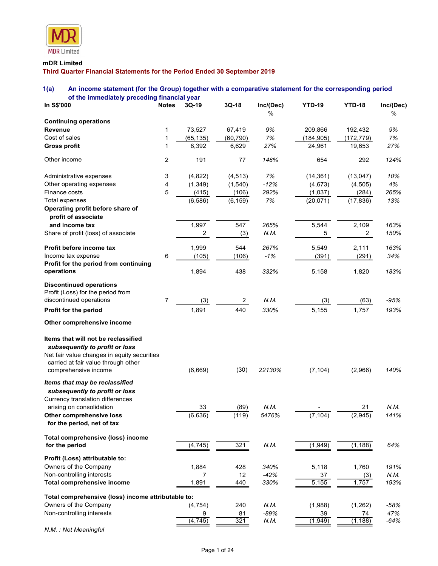

# mDR Limited

# 1(a) An income statement (for the Group) together with a comparative statement for the corresponding period of the immediately preceding financial year

| <b>MDR</b> Limited                                                                                                                                            |                |                     |                     |               |                       |                       |             |
|---------------------------------------------------------------------------------------------------------------------------------------------------------------|----------------|---------------------|---------------------|---------------|-----------------------|-----------------------|-------------|
| mDR Limited                                                                                                                                                   |                |                     |                     |               |                       |                       |             |
| Third Quarter Financial Statements for the Period Ended 30 September 2019                                                                                     |                |                     |                     |               |                       |                       |             |
|                                                                                                                                                               |                |                     |                     |               |                       |                       |             |
| 1(a)<br>An income statement (for the Group) together with a comparative statement for the corresponding period<br>of the immediately preceding financial year |                |                     |                     |               |                       |                       |             |
| In S\$'000                                                                                                                                                    | <b>Notes</b>   | $3Q-19$             | $3Q-18$             | Inc/(Dec)     | <b>YTD-19</b>         | <b>YTD-18</b>         | Inc/(Dec)   |
|                                                                                                                                                               |                |                     |                     | $\%$          |                       |                       | ℅           |
| <b>Continuing operations</b>                                                                                                                                  |                |                     |                     |               |                       |                       |             |
| <b>Revenue</b><br>Cost of sales                                                                                                                               |                | 73,527<br>(65, 135) | 67,419<br>(60, 790) | 9%<br>7%      | 209,866<br>(184, 905) | 192,432<br>(172, 779) | 9%<br>7%    |
| <b>Gross profit</b>                                                                                                                                           |                | 8,392               | 6,629               | 27%           | 24,961                | 19,653                | 27%         |
|                                                                                                                                                               |                |                     |                     |               |                       |                       |             |
| Other income                                                                                                                                                  | $\overline{2}$ | 191                 | 77                  | 148%          | 654                   | 292                   | 124%        |
| Administrative expenses                                                                                                                                       | 3              | (4,822)             | (4, 513)            | 7%            | (14, 361)             | (13, 047)             | 10%         |
| Other operating expenses                                                                                                                                      | 4              | (1, 349)            | (1,540)             | $-12%$        | (4, 673)              | (4, 505)              | 4%          |
| Finance costs                                                                                                                                                 | 5              | (415)               | (106)               | 292%          | (1,037)               | (284)                 | 265%        |
| Total expenses                                                                                                                                                |                | (6, 586)            | (6, 159)            | 7%            | (20, 071)             | (17, 836)             | 13%         |
| Operating profit before share of<br>profit of associate                                                                                                       |                |                     |                     |               |                       |                       |             |
| and income tax                                                                                                                                                |                | 1,997               | 547                 | 265%          | 5,544                 | 2,109                 | 163%        |
| Share of profit (loss) of associate                                                                                                                           |                | $\overline{a}$      | (3)                 | N.M.          | 5                     | $\overline{2}$        | 150%        |
|                                                                                                                                                               |                |                     |                     |               |                       |                       |             |
| Profit before income tax<br>Income tax expense                                                                                                                | 6              | 1,999<br>(105)      | 544<br>(106)        | 267%<br>$-1%$ | 5,549<br>(391)        | 2,111<br>(291)        | 163%<br>34% |
| Profit for the period from continuing                                                                                                                         |                |                     |                     |               |                       |                       |             |
| operations                                                                                                                                                    |                | 1,894               | 438                 | 332%          | 5,158                 | 1,820                 | 183%        |
| <b>Discontinued operations</b>                                                                                                                                |                |                     |                     |               |                       |                       |             |
| Profit (Loss) for the period from                                                                                                                             |                |                     |                     |               |                       |                       |             |
| discontinued operations                                                                                                                                       | $\overline{7}$ | (3)                 | $\overline{2}$      | N.M.          | (3)                   | (63)                  | $-95%$      |
| Profit for the period                                                                                                                                         |                | 1,891               | 440                 | 330%          | 5,155                 | 1,757                 | 193%        |
| Other comprehensive income                                                                                                                                    |                |                     |                     |               |                       |                       |             |
|                                                                                                                                                               |                |                     |                     |               |                       |                       |             |
| Items that will not be reclassified                                                                                                                           |                |                     |                     |               |                       |                       |             |
| subsequently to profit or loss                                                                                                                                |                |                     |                     |               |                       |                       |             |
| Net fair value changes in equity securities<br>carried at fair value through other                                                                            |                |                     |                     |               |                       |                       |             |
| comprehensive income                                                                                                                                          |                | (6,669)             | (30)                | 22130%        | (7, 104)              | (2,966)               | 140%        |
| Items that may be reclassified                                                                                                                                |                |                     |                     |               |                       |                       |             |
| subsequently to profit or loss                                                                                                                                |                |                     |                     |               |                       |                       |             |
| Currency translation differences                                                                                                                              |                |                     |                     |               |                       |                       |             |
| arising on consolidation                                                                                                                                      |                | 33                  | (89)                | N.M.          |                       | 21                    | N.M.        |
| Other comprehensive loss                                                                                                                                      |                | (6,636)             | (119)               | 5476%         | (7, 104)              | (2,945)               | 141%        |
| for the period, net of tax                                                                                                                                    |                |                     |                     |               |                       |                       |             |
| Total comprehensive (loss) income                                                                                                                             |                |                     |                     |               |                       |                       |             |
| for the period                                                                                                                                                |                | (4, 745)            | 321                 | N.M.          | (1,949)               | (1, 188)              | 64%         |
| Profit (Loss) attributable to:                                                                                                                                |                |                     |                     |               |                       |                       |             |
| Owners of the Company                                                                                                                                         |                | 1,884               | 428                 | 340%          | 5,118                 | 1,760                 | 191%        |
| Non-controlling interests                                                                                                                                     |                | 7                   | 12                  | $-42%$        | 37                    | (3)                   | N.M.        |
| <b>Total comprehensive income</b>                                                                                                                             |                | 1,891               | 440                 | 330%          | 5,155                 | 1,757                 | 193%        |
| Total comprehensive (loss) income attributable to:                                                                                                            |                |                     |                     |               |                       |                       |             |
| Owners of the Company                                                                                                                                         |                | (4, 754)            | 240                 | N.M.          | (1,988)               | (1, 262)              | $-58%$      |
| Non-controlling interests                                                                                                                                     |                | 9                   | 81                  | $-89%$        | 39                    | 74                    | 47%         |
|                                                                                                                                                               |                | (4, 745)            | 321                 | N.M.          | (1,949)               | (1, 188)              | $-64%$      |

N.M. : Not Meaningful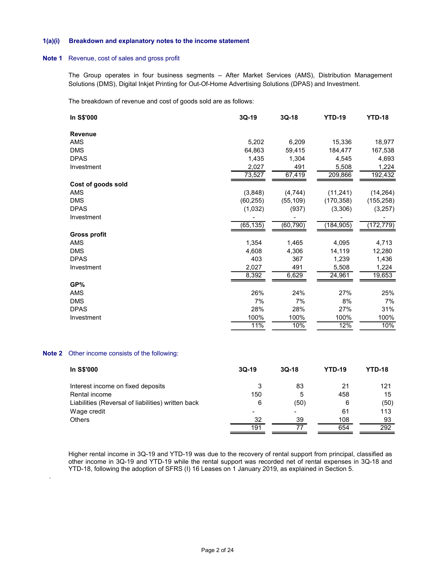#### 1(a)(i) Breakdown and explanatory notes to the income statement

## Note 1 Revenue, cost of sales and gross profit

Note 2

.

| a)(i) | Breakdown and explanatory notes to the income statement                                                                                                                                                      |                |                          |               |               |
|-------|--------------------------------------------------------------------------------------------------------------------------------------------------------------------------------------------------------------|----------------|--------------------------|---------------|---------------|
| pte 1 | Revenue, cost of sales and gross profit                                                                                                                                                                      |                |                          |               |               |
|       | The Group operates in four business segments - After Market Services (AMS), Distribution Management<br>Solutions (DMS), Digital Inkjet Printing for Out-Of-Home Advertising Solutions (DPAS) and Investment. |                |                          |               |               |
|       | The breakdown of revenue and cost of goods sold are as follows:                                                                                                                                              |                |                          |               |               |
|       | In S\$'000                                                                                                                                                                                                   | 3Q-19          | $3Q-18$                  | <b>YTD-19</b> | <b>YTD-18</b> |
|       | Revenue                                                                                                                                                                                                      |                |                          |               |               |
|       | AMS                                                                                                                                                                                                          | 5,202          | 6,209                    | 15,336        | 18,977        |
|       | <b>DMS</b>                                                                                                                                                                                                   | 64,863         | 59,415                   | 184,477       | 167,538       |
|       | <b>DPAS</b>                                                                                                                                                                                                  | 1,435          | 1,304                    | 4,545         | 4,693         |
|       | Investment                                                                                                                                                                                                   | 2,027          | 491                      | 5,508         | 1,224         |
|       |                                                                                                                                                                                                              | 73,527         | 67,419                   | 209,866       | 192,432       |
|       | Cost of goods sold                                                                                                                                                                                           |                |                          |               |               |
|       | AMS                                                                                                                                                                                                          | (3,848)        | (4, 744)                 | (11, 241)     | (14, 264)     |
|       | <b>DMS</b>                                                                                                                                                                                                   | (60, 255)      | (55, 109)                | (170, 358)    | (155, 258)    |
|       | <b>DPAS</b>                                                                                                                                                                                                  | (1,032)        | (937)                    | (3,306)       | (3, 257)      |
|       | Investment                                                                                                                                                                                                   |                |                          |               |               |
|       |                                                                                                                                                                                                              | (65, 135)      | (60, 790)                | (184, 905)    | (172, 779)    |
|       | <b>Gross profit</b>                                                                                                                                                                                          |                |                          |               |               |
|       | AMS                                                                                                                                                                                                          | 1,354          | 1,465                    | 4,095         | 4,713         |
|       | <b>DMS</b>                                                                                                                                                                                                   | 4,608          | 4,306                    | 14,119        | 12,280        |
|       | <b>DPAS</b>                                                                                                                                                                                                  | 403            | 367                      | 1,239         | 1,436         |
|       | Investment                                                                                                                                                                                                   | 2,027          | 491                      | 5,508         | 1,224         |
|       |                                                                                                                                                                                                              | 8,392          | 6,629                    | 24,961        | 19,653        |
|       | GP%                                                                                                                                                                                                          |                |                          |               |               |
|       | AMS                                                                                                                                                                                                          | 26%            | 24%                      | 27%           | 25%           |
|       | <b>DMS</b>                                                                                                                                                                                                   | 7%             | 7%                       | 8%            | 7%            |
|       | <b>DPAS</b>                                                                                                                                                                                                  | 28%            | 28%                      | 27%           | 31%           |
|       | Investment                                                                                                                                                                                                   | 100%           | 100%                     | 100%          | 100%          |
|       |                                                                                                                                                                                                              | 11%            | 10%                      | 12%           | 10%           |
|       |                                                                                                                                                                                                              |                |                          |               |               |
|       | ote 2 Other income consists of the following:                                                                                                                                                                |                |                          |               |               |
|       | In S\$'000                                                                                                                                                                                                   | $3Q-19$        | $3Q-18$                  | <b>YTD-19</b> | <b>YTD-18</b> |
|       | Interest income on fixed deposits                                                                                                                                                                            | $\mathsf 3$    | 83                       | 21            | 121           |
|       | Rental income                                                                                                                                                                                                | 150            | 5                        | 458           | 15            |
|       | Liabilities (Reversal of liabilities) written back                                                                                                                                                           | $\,6$          | (50)                     | 6             | (50)          |
|       | Wage credit                                                                                                                                                                                                  | $\blacksquare$ | $\overline{\phantom{0}}$ | 61            | 113           |
|       | Others                                                                                                                                                                                                       | 32             | 39                       | 108           | 93            |
|       |                                                                                                                                                                                                              | 191            | $\overline{77}$          | 654           | 292           |
|       |                                                                                                                                                                                                              |                |                          |               |               |

| Interest income on fixed deposits                  |     | 83   | 21  | 121  |
|----------------------------------------------------|-----|------|-----|------|
| Rental income                                      | 150 | 5    | 458 | 15   |
| Liabilities (Reversal of liabilities) written back | 6   | (50) | 6   | (50) |
| Wage credit                                        |     |      | 61  | 113  |
| <b>Others</b>                                      | 32  | 39   | 108 | 93   |
|                                                    | 191 |      | 654 | 292  |

Higher rental income in 3Q-19 and YTD-19 was due to the recovery of rental support from principal, classified as other income in 3Q-19 and YTD-19 while the rental support was recorded net of rental expenses in 3Q-18 and YTD-18, following the adoption of SFRS (I) 16 Leases on 1 January 2019, as explained in Section 5.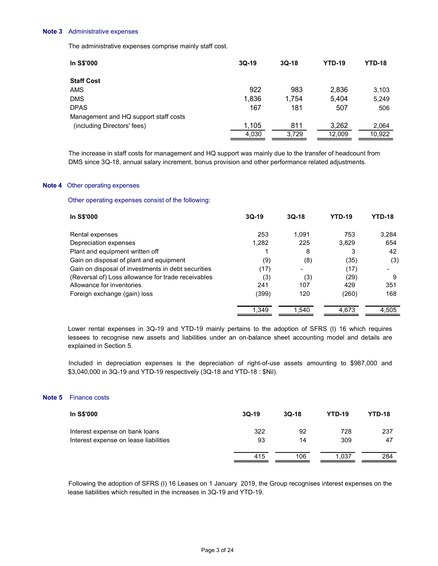#### Note 3 Administrative expenses

| Note 3 | Administrative expenses                                                                                    |                     |          |                      |               |
|--------|------------------------------------------------------------------------------------------------------------|---------------------|----------|----------------------|---------------|
|        | The administrative expenses comprise mainly staff cost.                                                    |                     |          |                      |               |
|        | In S\$'000                                                                                                 | 3Q-19               | $3Q-18$  | <b>YTD-19</b>        | <b>YTD-18</b> |
|        | <b>Staff Cost</b>                                                                                          |                     |          |                      |               |
|        | AMS                                                                                                        | 922                 | 983      | 2,836                | 3,103         |
|        | <b>DMS</b><br><b>DPAS</b>                                                                                  | 1,836<br>167        | 1,754    | 5,404                | 5,249         |
|        | Management and HQ support staff costs                                                                      |                     | 181      | 507                  | 506           |
|        | (including Directors' fees)                                                                                | 1,105               | 811      | 3,262                | 2,064         |
|        |                                                                                                            | 4,030               | 3,729    | 12,009               | 10,922        |
|        | The increase in staff costs for management and HQ support was mainly due to the transfer of headcount from |                     |          |                      |               |
|        | DMS since 3Q-18, annual salary increment, bonus provision and other performance related adjustments.       |                     |          |                      |               |
|        | Note 4 Other operating expenses                                                                            |                     |          |                      |               |
|        | Other operating expenses consist of the following:                                                         |                     |          |                      |               |
|        | In S\$'000                                                                                                 | $3Q-19$             | $3Q-18$  | <b>YTD-19</b>        | <b>YTD-18</b> |
|        | Rental expenses                                                                                            | 253                 | 1,091    | 753                  | 3,284         |
|        | Depreciation expenses                                                                                      | 1,282               | 225      | 3,829                | 654           |
|        | Plant and equipment written off<br>Gain on disposal of plant and equipment                                 | $\mathbf{1}$<br>(9) | 8<br>(8) | $\mathbf{3}$<br>(35) | 42<br>(3)     |
|        |                                                                                                            |                     |          |                      |               |

## Note 4 Other operating expenses

| DMS                                                                                                                                                                                                                                                                                                                                                                                                                                                                                                                                                                                                                                                                                                                                                                                                                                                                                                                                                                                                                                                                                                                                                                                                                                                                                                                                                                                                                                                                                                                                                                                                                                              | 1,836 | 1,754 | 5,404 | 5,249         |
|--------------------------------------------------------------------------------------------------------------------------------------------------------------------------------------------------------------------------------------------------------------------------------------------------------------------------------------------------------------------------------------------------------------------------------------------------------------------------------------------------------------------------------------------------------------------------------------------------------------------------------------------------------------------------------------------------------------------------------------------------------------------------------------------------------------------------------------------------------------------------------------------------------------------------------------------------------------------------------------------------------------------------------------------------------------------------------------------------------------------------------------------------------------------------------------------------------------------------------------------------------------------------------------------------------------------------------------------------------------------------------------------------------------------------------------------------------------------------------------------------------------------------------------------------------------------------------------------------------------------------------------------------|-------|-------|-------|---------------|
| <b>DPAS</b>                                                                                                                                                                                                                                                                                                                                                                                                                                                                                                                                                                                                                                                                                                                                                                                                                                                                                                                                                                                                                                                                                                                                                                                                                                                                                                                                                                                                                                                                                                                                                                                                                                      | 167   | 181   | 507   | 506           |
|                                                                                                                                                                                                                                                                                                                                                                                                                                                                                                                                                                                                                                                                                                                                                                                                                                                                                                                                                                                                                                                                                                                                                                                                                                                                                                                                                                                                                                                                                                                                                                                                                                                  |       |       |       |               |
|                                                                                                                                                                                                                                                                                                                                                                                                                                                                                                                                                                                                                                                                                                                                                                                                                                                                                                                                                                                                                                                                                                                                                                                                                                                                                                                                                                                                                                                                                                                                                                                                                                                  |       |       |       | 2,064         |
|                                                                                                                                                                                                                                                                                                                                                                                                                                                                                                                                                                                                                                                                                                                                                                                                                                                                                                                                                                                                                                                                                                                                                                                                                                                                                                                                                                                                                                                                                                                                                                                                                                                  |       |       |       | 10,922        |
| Management and HQ support staff costs<br>1,105<br>811<br>3,262<br>(including Directors' fees)<br>4,030<br>3,729<br>12,009<br>The increase in staff costs for management and HQ support was mainly due to the transfer of headcount from<br>DMS since 3Q-18, annual salary increment, bonus provision and other performance related adjustments.<br>Other operating expenses<br>Other operating expenses consist of the following:<br>In S\$'000<br>$3Q-19$<br>$3Q-18$<br><b>YTD-19</b><br>253<br>1,091<br>753<br>Rental expenses<br>225<br>1,282<br>3,829<br>Depreciation expenses<br>Plant and equipment written off<br>8<br>3<br>$\mathbf{1}$<br>Gain on disposal of plant and equipment<br>(9)<br>(8)<br>(35)<br>Gain on disposal of investments in debt securities<br>(17)<br>(17)<br>(29)<br>(Reversal of) Loss allowance for trade receivables<br>(3)<br>(3)<br>Allowance for inventories<br>241<br>107<br>429<br>120<br>Foreign exchange (gain) loss<br>(399)<br>(260)<br>1,540<br>4,673<br>1,349<br>Lower rental expenses in 3Q-19 and YTD-19 mainly pertains to the adoption of SFRS (I) 16 which requires<br>lessees to recognise new assets and liabilities under an on-balance sheet accounting model and details are<br>explained in Section 5.<br>Included in depreciation expenses is the depreciation of right-of-use assets amounting to \$987,000 and<br>\$3,040,000 in 3Q-19 and YTD-19 respectively (3Q-18 and YTD-18 : \$Nil).<br><b>Finance costs</b><br>In S\$'000<br>3Q-19<br>$3Q-18$<br><b>YTD-19</b><br>322<br>92<br>728<br>Interest expense on bank loans<br>93<br>14<br>309<br>Interest expense on lease liabilities |       |       |       |               |
|                                                                                                                                                                                                                                                                                                                                                                                                                                                                                                                                                                                                                                                                                                                                                                                                                                                                                                                                                                                                                                                                                                                                                                                                                                                                                                                                                                                                                                                                                                                                                                                                                                                  |       |       |       |               |
|                                                                                                                                                                                                                                                                                                                                                                                                                                                                                                                                                                                                                                                                                                                                                                                                                                                                                                                                                                                                                                                                                                                                                                                                                                                                                                                                                                                                                                                                                                                                                                                                                                                  |       |       |       |               |
|                                                                                                                                                                                                                                                                                                                                                                                                                                                                                                                                                                                                                                                                                                                                                                                                                                                                                                                                                                                                                                                                                                                                                                                                                                                                                                                                                                                                                                                                                                                                                                                                                                                  |       |       |       |               |
|                                                                                                                                                                                                                                                                                                                                                                                                                                                                                                                                                                                                                                                                                                                                                                                                                                                                                                                                                                                                                                                                                                                                                                                                                                                                                                                                                                                                                                                                                                                                                                                                                                                  |       |       |       |               |
|                                                                                                                                                                                                                                                                                                                                                                                                                                                                                                                                                                                                                                                                                                                                                                                                                                                                                                                                                                                                                                                                                                                                                                                                                                                                                                                                                                                                                                                                                                                                                                                                                                                  |       |       |       | <b>YTD-18</b> |
|                                                                                                                                                                                                                                                                                                                                                                                                                                                                                                                                                                                                                                                                                                                                                                                                                                                                                                                                                                                                                                                                                                                                                                                                                                                                                                                                                                                                                                                                                                                                                                                                                                                  |       |       |       | 3,284         |
|                                                                                                                                                                                                                                                                                                                                                                                                                                                                                                                                                                                                                                                                                                                                                                                                                                                                                                                                                                                                                                                                                                                                                                                                                                                                                                                                                                                                                                                                                                                                                                                                                                                  |       |       |       | 654           |
|                                                                                                                                                                                                                                                                                                                                                                                                                                                                                                                                                                                                                                                                                                                                                                                                                                                                                                                                                                                                                                                                                                                                                                                                                                                                                                                                                                                                                                                                                                                                                                                                                                                  |       |       |       | 42            |
|                                                                                                                                                                                                                                                                                                                                                                                                                                                                                                                                                                                                                                                                                                                                                                                                                                                                                                                                                                                                                                                                                                                                                                                                                                                                                                                                                                                                                                                                                                                                                                                                                                                  |       |       |       | (3)           |
|                                                                                                                                                                                                                                                                                                                                                                                                                                                                                                                                                                                                                                                                                                                                                                                                                                                                                                                                                                                                                                                                                                                                                                                                                                                                                                                                                                                                                                                                                                                                                                                                                                                  |       |       |       |               |
|                                                                                                                                                                                                                                                                                                                                                                                                                                                                                                                                                                                                                                                                                                                                                                                                                                                                                                                                                                                                                                                                                                                                                                                                                                                                                                                                                                                                                                                                                                                                                                                                                                                  |       |       |       | 9             |
|                                                                                                                                                                                                                                                                                                                                                                                                                                                                                                                                                                                                                                                                                                                                                                                                                                                                                                                                                                                                                                                                                                                                                                                                                                                                                                                                                                                                                                                                                                                                                                                                                                                  |       |       |       | 351           |
|                                                                                                                                                                                                                                                                                                                                                                                                                                                                                                                                                                                                                                                                                                                                                                                                                                                                                                                                                                                                                                                                                                                                                                                                                                                                                                                                                                                                                                                                                                                                                                                                                                                  |       |       |       | 168           |
|                                                                                                                                                                                                                                                                                                                                                                                                                                                                                                                                                                                                                                                                                                                                                                                                                                                                                                                                                                                                                                                                                                                                                                                                                                                                                                                                                                                                                                                                                                                                                                                                                                                  |       |       |       | 4,505         |
|                                                                                                                                                                                                                                                                                                                                                                                                                                                                                                                                                                                                                                                                                                                                                                                                                                                                                                                                                                                                                                                                                                                                                                                                                                                                                                                                                                                                                                                                                                                                                                                                                                                  |       |       |       |               |
|                                                                                                                                                                                                                                                                                                                                                                                                                                                                                                                                                                                                                                                                                                                                                                                                                                                                                                                                                                                                                                                                                                                                                                                                                                                                                                                                                                                                                                                                                                                                                                                                                                                  |       |       |       |               |
|                                                                                                                                                                                                                                                                                                                                                                                                                                                                                                                                                                                                                                                                                                                                                                                                                                                                                                                                                                                                                                                                                                                                                                                                                                                                                                                                                                                                                                                                                                                                                                                                                                                  |       |       |       |               |
|                                                                                                                                                                                                                                                                                                                                                                                                                                                                                                                                                                                                                                                                                                                                                                                                                                                                                                                                                                                                                                                                                                                                                                                                                                                                                                                                                                                                                                                                                                                                                                                                                                                  |       |       |       | <b>YTD-18</b> |
|                                                                                                                                                                                                                                                                                                                                                                                                                                                                                                                                                                                                                                                                                                                                                                                                                                                                                                                                                                                                                                                                                                                                                                                                                                                                                                                                                                                                                                                                                                                                                                                                                                                  |       |       |       | 237           |
|                                                                                                                                                                                                                                                                                                                                                                                                                                                                                                                                                                                                                                                                                                                                                                                                                                                                                                                                                                                                                                                                                                                                                                                                                                                                                                                                                                                                                                                                                                                                                                                                                                                  |       |       |       | 47            |
|                                                                                                                                                                                                                                                                                                                                                                                                                                                                                                                                                                                                                                                                                                                                                                                                                                                                                                                                                                                                                                                                                                                                                                                                                                                                                                                                                                                                                                                                                                                                                                                                                                                  | 415   | 106   | 1,037 | 284           |

# Note 5 Finance costs

| <b>In S\$'000</b>                                                       | $3Q-19$   | $3Q-18$  | <b>YTD-19</b> | <b>YTD-18</b> |  |
|-------------------------------------------------------------------------|-----------|----------|---------------|---------------|--|
| Interest expense on bank loans<br>Interest expense on lease liabilities | 322<br>93 | 92<br>14 | 728<br>309    | 237<br>47     |  |
|                                                                         | 415       | 106      | 1.037         | 284           |  |

Following the adoption of SFRS (I) 16 Leases on 1 January 2019, the Group recognises interest expenses on the lease liabilities which resulted in the increases in 3Q-19 and YTD-19.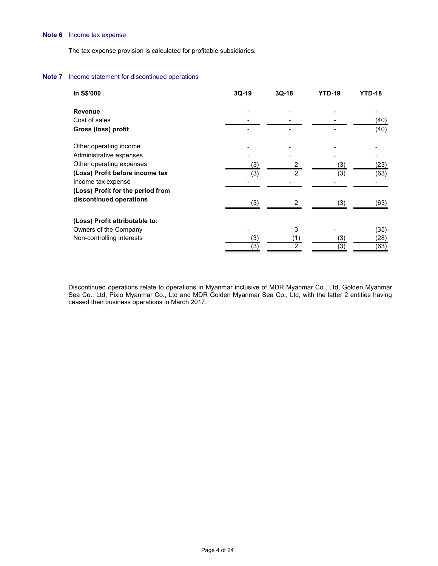# Note 6 Income tax expense

#### Note 7 Income statement for discontinued operations

| ncome tax expense                                                   |                          |                         |                   |                            |
|---------------------------------------------------------------------|--------------------------|-------------------------|-------------------|----------------------------|
|                                                                     |                          |                         |                   |                            |
| he tax expense provision is calculated for profitable subsidiaries. |                          |                         |                   |                            |
|                                                                     |                          |                         |                   |                            |
| ncome statement for discontinued operations                         |                          |                         |                   |                            |
| In S\$'000                                                          | $3Q-19$                  | $3Q-18$                 | <b>YTD-19</b>     | <b>YTD-18</b>              |
| Revenue                                                             |                          |                         |                   |                            |
| Cost of sales                                                       | $\overline{\phantom{a}}$ |                         |                   | (40)                       |
| Gross (loss) profit                                                 | $\overline{a}$           |                         |                   | (40)                       |
| Other operating income                                              |                          |                         |                   |                            |
| Administrative expenses                                             |                          |                         |                   |                            |
| Other operating expenses                                            | (3)                      | $\overline{a}$          | (3)               | (23)                       |
| (Loss) Profit before income tax                                     | (3)                      | $\overline{2}$          | $\overline{(3)}$  | (63)                       |
|                                                                     |                          |                         | -                 |                            |
| Income tax expense                                                  |                          |                         |                   |                            |
| (Loss) Profit for the period from                                   |                          | $\overline{\mathbf{c}}$ | (3)               | (63)                       |
| discontinued operations                                             | (3)                      |                         |                   |                            |
|                                                                     |                          |                         |                   |                            |
| (Loss) Profit attributable to:                                      | $\blacksquare$           |                         | $\blacksquare$    |                            |
| Owners of the Company<br>Non-controlling interests                  |                          | 3                       |                   |                            |
|                                                                     | $\frac{(3)}{(3)}$        | $\frac{(1)}{2}$         | $\frac{(3)}{(3)}$ | $(35)$<br>$(28)$<br>$(63)$ |

 Discontinued operations relate to operations in Myanmar inclusive of MDR Myanmar Co., Ltd, Golden Myanmar Sea Co., Ltd, Pixio Myanmar Co., Ltd and MDR Golden Myanmar Sea Co., Ltd, with the latter 2 entities having ceased their business operations in March 2017.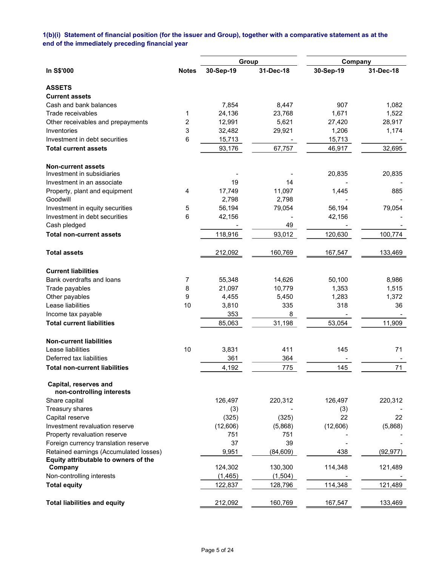# 1(b)(i) Statement of financial position (for the issuer and Group), together with a comparative statement as at the end of the immediately preceding financial year

|                                            |                |              | Group     | Company   |           |
|--------------------------------------------|----------------|--------------|-----------|-----------|-----------|
| In S\$'000                                 | <b>Notes</b>   | 30-Sep-19    | 31-Dec-18 | 30-Sep-19 | 31-Dec-18 |
| <b>ASSETS</b>                              |                |              |           |           |           |
| <b>Current assets</b>                      |                |              |           |           |           |
| Cash and bank balances                     |                | 7,854        | 8,447     | 907       | 1,082     |
| Trade receivables                          | 1              | 24,136       | 23,768    | 1,671     | 1,522     |
| Other receivables and prepayments          | $\overline{c}$ | 12,991       | 5,621     | 27,420    | 28,917    |
| Inventories                                | 3              | 32,482       | 29,921    | 1,206     | 1,174     |
| Investment in debt securities              | 6              | 15,713       |           | 15,713    |           |
| <b>Total current assets</b>                |                | 93,176       | 67,757    | 46,917    | 32,695    |
| <b>Non-current assets</b>                  |                |              |           |           |           |
| Investment in subsidiaries                 |                |              |           | 20,835    | 20,835    |
| Investment in an associate                 |                | 19           | 14        |           |           |
| Property, plant and equipment              | 4              | 17,749       | 11,097    | 1,445     | 885       |
| Goodwill                                   |                | 2,798        | 2,798     |           |           |
| Investment in equity securities            | 5              | 56,194       | 79,054    | 56,194    | 79,054    |
| Investment in debt securities              | 6              | 42,156       |           | 42,156    |           |
| Cash pledged                               |                |              | 49        |           |           |
| <b>Total non-current assets</b>            |                | 118,916      | 93,012    | 120,630   | 100,774   |
| <b>Total assets</b>                        |                | 212,092      | 160,769   | 167,547   | 133,469   |
| <b>Current liabilities</b>                 |                |              |           |           |           |
| Bank overdrafts and loans                  | $\overline{7}$ | 55,348       | 14,626    | 50,100    | 8,986     |
| Trade payables                             | 8              | 21,097       | 10,779    | 1,353     | 1,515     |
| Other payables                             | 9              | 4,455        | 5,450     | 1,283     | 1,372     |
| Lease liabilities                          | 10             | 3,810        | 335       | 318       | 36        |
| Income tax payable                         |                | 353          | 8         |           |           |
| <b>Total current liabilities</b>           |                | 85,063       | 31,198    | 53,054    | 11,909    |
| <b>Non-current liabilities</b>             |                |              |           |           |           |
| Lease liabilities                          | 10             | 3,831        | 411       | 145       | 71        |
| Deferred tax liabilities                   |                | 361          | 364       |           |           |
| <b>Total non-current liabilities</b>       |                | 4,192        | 775       | 145       | 71        |
| Capital, reserves and                      |                |              |           |           |           |
| non-controlling interests<br>Share capital |                | 126,497      | 220,312   | 126,497   | 220,312   |
| Treasury shares                            |                |              |           |           |           |
| Capital reserve                            |                | (3)<br>(325) | (325)     | (3)<br>22 | 22        |
| Investment revaluation reserve             |                | (12,606)     | (5,868)   | (12,606)  | (5,868)   |
| Property revaluation reserve               |                | 751          | 751       |           |           |
| Foreign currency translation reserve       |                | 37           | 39        |           |           |
| Retained earnings (Accumulated losses)     |                | 9,951        | (84, 609) | 438       | (92, 977) |
| Equity attributable to owners of the       |                |              |           |           |           |
| Company                                    |                | 124,302      | 130,300   | 114,348   | 121,489   |
| Non-controlling interests                  |                | (1, 465)     | (1,504)   |           |           |
| <b>Total equity</b>                        |                | 122,837      | 128,796   | 114,348   | 121,489   |
| <b>Total liabilities and equity</b>        |                | 212,092      | 160,769   | 167,547   | 133,469   |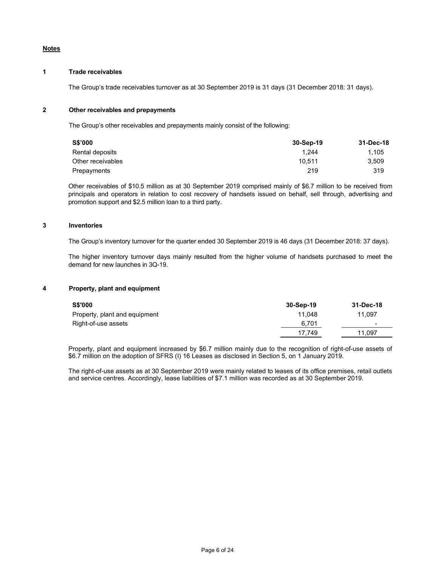# Notes

# 1 Trade receivables

The Group's trade receivables turnover as at 30 September 2019 is 31 days (31 December 2018: 31 days).

## 2 Other receivables and prepayments

The Group's other receivables and prepayments mainly consist of the following:

| S\$'000           | 30-Sep-19 | 31-Dec-18 |
|-------------------|-----------|-----------|
| Rental deposits   | 1.244     | 1.105     |
| Other receivables | 10.511    | 3.509     |
| Prepayments       | 219       | 319       |

 Other receivables of \$10.5 million as at 30 September 2019 comprised mainly of \$6.7 million to be received from principals and operators in relation to cost recovery of handsets issued on behalf, sell through, advertising and promotion support and \$2.5 million loan to a third party.

#### 3 Inventories

The Group's inventory turnover for the quarter ended 30 September 2019 is 46 days (31 December 2018: 37 days).

 The higher inventory turnover days mainly resulted from the higher volume of handsets purchased to meet the demand for new launches in 3Q-19.

## 4 Property, plant and equipment

| <b>S\$'000</b>                | 30-Sep-19 | 31-Dec-18 |
|-------------------------------|-----------|-----------|
| Property, plant and equipment | 11.048    | 11.097    |
| Right-of-use assets           | 6.701     | -         |
|                               | 17.749    | 11.097    |

 Property, plant and equipment increased by \$6.7 million mainly due to the recognition of right-of-use assets of \$6.7 million on the adoption of SFRS (I) 16 Leases as disclosed in Section 5, on 1 January 2019.

 The right-of-use assets as at 30 September 2019 were mainly related to leases of its office premises, retail outlets and service centres. Accordingly, lease liabilities of \$7.1 million was recorded as at 30 September 2019.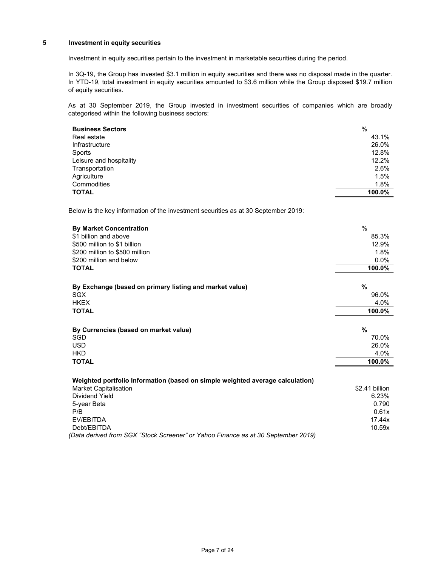# 5 Investment in equity securities

Investment in equity securities pertain to the investment in marketable securities during the period.

In 3Q-19, the Group has invested \$3.1 million in equity securities and there was no disposal made in the quarter. In YTD-19, total investment in equity securities amounted to \$3.6 million while the Group disposed \$19.7 million of equity securities.

As at 30 September 2019, the Group invested in investment securities of companies which are broadly categorised within the following business sectors:

| <b>Business Sectors</b> | %      |
|-------------------------|--------|
| Real estate             | 43.1%  |
| Infrastructure          | 26.0%  |
| Sports                  | 12.8%  |
| Leisure and hospitality | 12.2%  |
| Transportation          | 2.6%   |
| Agriculture             | 1.5%   |
| Commodities             | 1.8%   |
| <b>TOTAL</b>            | 100.0% |

Below is the key information of the investment securities as at 30 September 2019:

| <b>By Market Concentration</b>                                                    | $\%$           |
|-----------------------------------------------------------------------------------|----------------|
| \$1 billion and above                                                             | 85.3%          |
| \$500 million to \$1 billion                                                      | 12.9%          |
| \$200 million to \$500 million                                                    | 1.8%           |
| \$200 million and below                                                           | $0.0\%$        |
| <b>TOTAL</b>                                                                      | 100.0%         |
|                                                                                   |                |
| By Exchange (based on primary listing and market value)                           | %              |
| <b>SGX</b>                                                                        | 96.0%          |
| <b>HKEX</b>                                                                       | 4.0%           |
| <b>TOTAL</b>                                                                      | 100.0%         |
|                                                                                   |                |
| By Currencies (based on market value)                                             | $\%$           |
| <b>SGD</b>                                                                        | 70.0%          |
| <b>USD</b>                                                                        | 26.0%          |
| <b>HKD</b>                                                                        | 4.0%           |
| <b>TOTAL</b>                                                                      | 100.0%         |
|                                                                                   |                |
| Weighted portfolio Information (based on simple weighted average calculation)     |                |
| <b>Market Capitalisation</b>                                                      | \$2.41 billion |
| Dividend Yield                                                                    | 6.23%          |
| 5-year Beta                                                                       | 0.790          |
| P/B                                                                               | 0.61x          |
| EV/EBITDA                                                                         | 17.44x         |
| Debt/EBITDA                                                                       | 10.59x         |
| (Data derived from SGX "Stock Screener" or Yahoo Finance as at 30 September 2019) |                |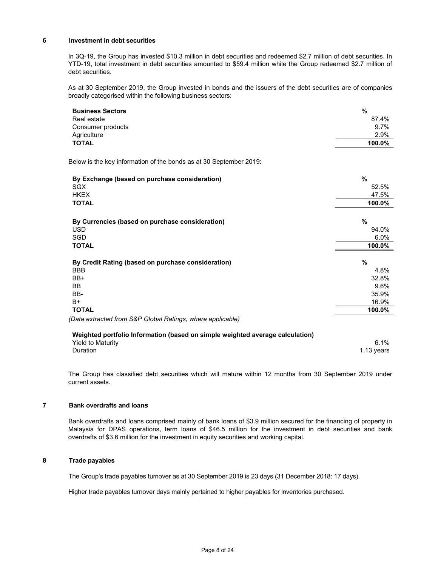## 6 Investment in debt securities

In 3Q-19, the Group has invested \$10.3 million in debt securities and redeemed \$2.7 million of debt securities. In YTD-19, total investment in debt securities amounted to \$59.4 million while the Group redeemed \$2.7 million of debt securities.

As at 30 September 2019, the Group invested in bonds and the issuers of the debt securities are of companies broadly categorised within the following business sectors:

| <b>Business Sectors</b>                                            | $\frac{0}{0}$ |
|--------------------------------------------------------------------|---------------|
| Real estate                                                        | 87.4%         |
| Consumer products                                                  | 9.7%          |
| Agriculture                                                        | 2.9%          |
| <b>TOTAL</b>                                                       | 100.0%        |
| Below is the key information of the bonds as at 30 September 2019: |               |
| By Exchange (based on purchase consideration)                      | %             |
| <b>SGX</b>                                                         | 52.5%         |
| <b>HKEX</b>                                                        | 47.5%         |
| <b>TOTAL</b>                                                       | 100.0%        |
| By Currencies (based on purchase consideration)                    | %             |
| <b>USD</b>                                                         | 94.0%         |
| SGD                                                                | 6.0%          |
| <b>TOTAL</b>                                                       | 100.0%        |
| By Credit Rating (based on purchase consideration)                 | %             |
| <b>BBB</b>                                                         | 4.8%          |
| BB+                                                                | 32.8%         |
| <b>BB</b>                                                          | 9.6%          |
| BB-                                                                | 35.9%         |
|                                                                    | 16.9%         |
| B+                                                                 |               |

| Weighted portfolio Information (based on simple weighted average calculation) |            |
|-------------------------------------------------------------------------------|------------|
| <b>Yield to Maturity</b>                                                      | $6.1\%$    |
| Duration                                                                      | 1.13 vears |

The Group has classified debt securities which will mature within 12 months from 30 September 2019 under current assets.

#### 7 Bank overdrafts and loans

 Bank overdrafts and loans comprised mainly of bank loans of \$3.9 million secured for the financing of property in Malaysia for DPAS operations, term loans of \$46.5 million for the investment in debt securities and bank overdrafts of \$3.6 million for the investment in equity securities and working capital.

## 8 Trade payables

The Group's trade payables turnover as at 30 September 2019 is 23 days (31 December 2018: 17 days).

Higher trade payables turnover days mainly pertained to higher payables for inventories purchased.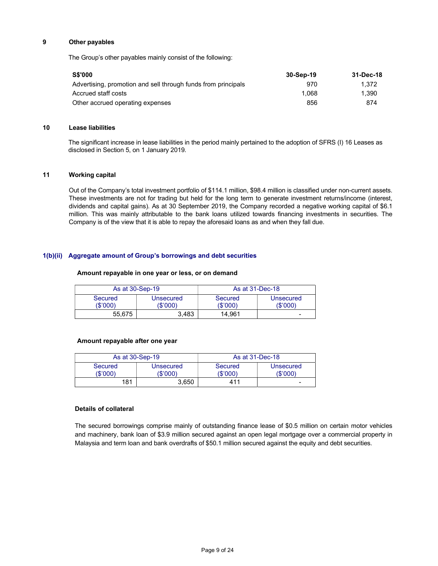## 9 Other payables

The Group's other payables mainly consist of the following:

| <b>S\$'000</b>                                                | 30-Sep-19 | 31-Dec-18 |
|---------------------------------------------------------------|-----------|-----------|
| Advertising, promotion and sell through funds from principals | 970       | 1.372     |
| Accrued staff costs                                           | 1.068     | 1.390     |
| Other accrued operating expenses                              | 856       | 874       |

#### 10 Lease liabilities

The significant increase in lease liabilities in the period mainly pertained to the adoption of SFRS (I) 16 Leases as disclosed in Section 5, on 1 January 2019.

## 11 Working capital

 Out of the Company's total investment portfolio of \$114.1 million, \$98.4 million is classified under non-current assets. These investments are not for trading but held for the long term to generate investment returns/income (interest, dividends and capital gains). As at 30 September 2019, the Company recorded a negative working capital of \$6.1 million. This was mainly attributable to the bank loans utilized towards financing investments in securities. The Company is of the view that it is able to repay the aforesaid loans as and when they fall due.

## 1(b)(ii) Aggregate amount of Group's borrowings and debt securities

#### Amount repayable in one year or less, or on demand

| As at 30-Sep-19     |                       | As at 31-Dec-18     |                      |
|---------------------|-----------------------|---------------------|----------------------|
| Secured<br>(\$'000) | Unsecured<br>(\$'000) | Secured<br>(\$'000) | Unsecured<br>(S'000) |
| 55.675              | 3.483                 | 14.961              | -                    |

#### Amount repayable after one year

|                     | As at 30-Sep-19     |                     | As at 31-Dec-18       |
|---------------------|---------------------|---------------------|-----------------------|
| Secured<br>(\$'000) | Unsecured<br>\$'000 | Secured<br>(\$'000' | Unsecured<br>(\$'000' |
| 181                 | 3.650               | 411                 | -                     |

## Details of collateral

The secured borrowings comprise mainly of outstanding finance lease of \$0.5 million on certain motor vehicles and machinery, bank loan of \$3.9 million secured against an open legal mortgage over a commercial property in Malaysia and term loan and bank overdrafts of \$50.1 million secured against the equity and debt securities.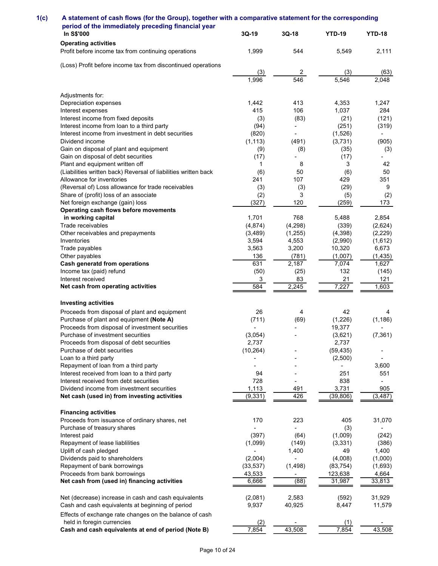| A statement of cash flows (for the Group), together with a comparative statement for the corresponding   |                     |                                 |                                 |                                   |
|----------------------------------------------------------------------------------------------------------|---------------------|---------------------------------|---------------------------------|-----------------------------------|
| period of the immediately preceding financial year                                                       |                     |                                 |                                 |                                   |
| In S\$'000<br><b>Operating activities</b>                                                                | $3Q-19$             | $3Q-18$                         | <b>YTD-19</b>                   | <b>YTD-18</b>                     |
| Profit before income tax from continuing operations                                                      | 1,999               | 544                             | 5,549                           | 2,111                             |
| (Loss) Profit before income tax from discontinued operations                                             | (3)                 | $\overline{2}$                  | (3)                             | (63)                              |
|                                                                                                          | 1,996               | 546                             | 5,546                           | 2,048                             |
| Adjustments for:                                                                                         |                     |                                 |                                 |                                   |
| Depreciation expenses<br>Interest expenses                                                               | 1,442<br>415        | 413<br>106                      | 4,353<br>1,037                  | 1,247<br>284                      |
| Interest income from fixed deposits                                                                      | (3)                 | (83)                            | (21)                            | (121)                             |
| Interest income from loan to a third party<br>Interest income from investment in debt securities         | (94)<br>(820)       |                                 | (251)<br>(1,526)                | (319)                             |
| Dividend income                                                                                          | (1, 113)            | (491)                           | (3,731)                         | (905)                             |
| Gain on disposal of plant and equipment<br>Gain on disposal of debt securities                           | (9)<br>(17)         | (8)<br>$\overline{\phantom{a}}$ | (35)<br>(17)                    | (3)<br>۰.                         |
| Plant and equipment written off<br>(Liabilities written back) Reversal of liabilities written back       | $\mathbf{1}$<br>(6) | 8<br>50                         | 3<br>(6)                        | 42<br>50                          |
| Allowance for inventories                                                                                | 241                 | 107                             | 429                             | 351                               |
| (Reversal of) Loss allowance for trade receivables<br>Share of (profit) loss of an associate             | (3)<br>(2)          | (3)<br>3                        | (29)<br>(5)                     | 9<br>(2)                          |
| Net foreign exchange (gain) loss                                                                         | (327)               | 120                             | (259)                           | 173                               |
| Operating cash flows before movements<br>in working capital                                              | 1,701               | 768                             | 5,488                           | 2,854                             |
| Trade receivables                                                                                        | (4, 874)            | (4, 298)                        | (339)                           | (2,624)                           |
| Other receivables and prepayments<br>Inventories                                                         | (3, 489)<br>3,594   | (1, 255)<br>4,553               | (4, 398)<br>(2,990)             | (2, 229)<br>(1,612)               |
| Trade payables                                                                                           | 3,563               | 3,200                           | 10,320                          | 6,673                             |
| Other payables<br><b>Cash generatd from operations</b>                                                   | 136<br>631          | (781)<br>2,187                  | (1,007)<br>7,074                | (1, 435)<br>1,627                 |
| Income tax (paid) refund<br>Interest received                                                            | (50)<br>3           | (25)<br>83                      | 132<br>21                       | (145)<br>121                      |
| Net cash from operating activities                                                                       | 584                 | 2,245                           | 7,227                           | 1,603                             |
| <b>Investing activities</b>                                                                              |                     |                                 |                                 |                                   |
| Proceeds from disposal of plant and equipment                                                            | 26                  | 4                               | 42                              | -4                                |
| Purchase of plant and equipment (Note A)<br>Proceeds from disposal of investment securities              | (711)               | (69)                            | (1,226)<br>19,377               | (1, 186)                          |
| Purchase of investment securities                                                                        | (3,054)             |                                 | (3,621)                         | (7, 361)                          |
| Proceeds from disposal of debt securities<br>Purchase of debt securities                                 | 2,737<br>(10, 264)  | $\overline{a}$                  | 2,737<br>(59, 435)              | $\overline{\phantom{a}}$          |
| Loan to a third party                                                                                    |                     |                                 | (2,500)                         | $\blacksquare$                    |
| Repayment of loan from a third party<br>Interest received from loan to a third party                     | 94                  | $\blacksquare$                  | $\overline{\phantom{a}}$<br>251 | 3,600<br>551                      |
| Interest received from debt securities                                                                   | 728                 | $\overline{\phantom{a}}$        | 838                             | Ξ.                                |
| Dividend income from investment securities<br>Net cash (used in) from investing activities               | 1,113<br>(9, 331)   | 491<br>426                      | 3,731<br>(39, 806)              | 905<br>(3, 487)                   |
| <b>Financing activities</b>                                                                              |                     |                                 |                                 |                                   |
| Proceeds from issuance of ordinary shares, net                                                           | 170                 | 223                             | 405                             | 31,070                            |
| Purchase of treasury shares<br>Interest paid                                                             | (397)               | (64)                            | (3)<br>(1,009)                  | $\overline{\phantom{a}}$<br>(242) |
| Repayment of lease liablilities                                                                          | (1,099)             | (149)                           | (3, 331)                        | (386)                             |
| Uplift of cash pledged<br>Dividends paid to shareholders                                                 | (2,004)             | 1,400                           | 49<br>(4,008)                   | 1,400<br>(1,000)                  |
| Repayment of bank borrowings                                                                             | (33, 537)           | (1, 498)                        | (83, 754)                       | (1,693)                           |
| Proceeds from bank borrowings<br>Net cash from (used in) financing activities                            | 43,533<br>6,666     | $\blacksquare$<br>(88)          | 123,638<br>31,987               | 4,664<br>33,813                   |
|                                                                                                          |                     |                                 |                                 |                                   |
| Net (decrease) increase in cash and cash equivalents<br>Cash and cash equivalents at beginning of period | (2,081)<br>9,937    | 2,583<br>40,925                 | (592)<br>8,447                  | 31,929<br>11,579                  |
| Effects of exchange rate changes on the balance of cash                                                  |                     |                                 |                                 |                                   |
| held in foregin currencies<br>Cash and cash equivalents at end of period (Note B)                        | (2)<br>7,854        |                                 | (1)                             |                                   |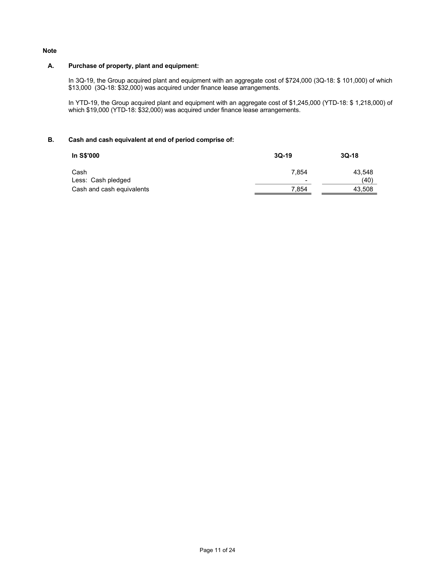## Note

## A. Purchase of property, plant and equipment:

In 3Q-19, the Group acquired plant and equipment with an aggregate cost of \$724,000 (3Q-18: \$101,000) of which \$13,000 (3Q-18: \$32,000) was acquired under finance lease arrangements.

In YTD-19, the Group acquired plant and equipment with an aggregate cost of \$1,245,000 (YTD-18: \$ 1,218,000) of which \$19,000 (YTD-18: \$32,000) was acquired under finance lease arrangements.

# B. Cash and cash equivalent at end of period comprise of:

| In S\$'000                | $3Q-19$ | $3Q-18$ |
|---------------------------|---------|---------|
| Cash                      | 7.854   | 43,548  |
| Less: Cash pledged        | $\,$    | (40)    |
| Cash and cash equivalents | 7.854   | 43.508  |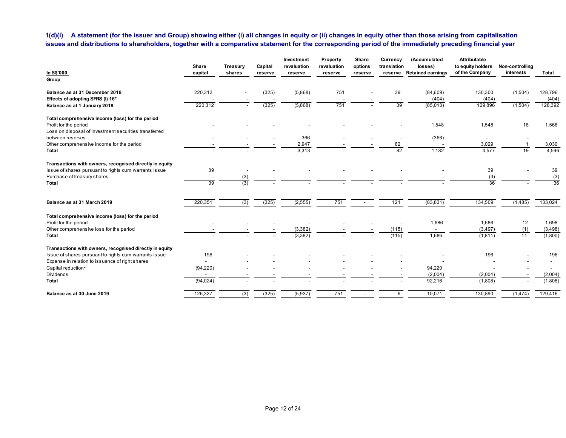| issues and distributions to shareholders, together with a comparative statement for the corresponding period of the immediately preceding financial year |                                       |                           |                    |                                      |                                    |                             |                          | 1(d)(i) A statement (for the issuer and Group) showing either (i) all changes in equity or (ii) changes in equity other than those arising from capitalisation |                                                            |                              |                                                      |
|----------------------------------------------------------------------------------------------------------------------------------------------------------|---------------------------------------|---------------------------|--------------------|--------------------------------------|------------------------------------|-----------------------------|--------------------------|----------------------------------------------------------------------------------------------------------------------------------------------------------------|------------------------------------------------------------|------------------------------|------------------------------------------------------|
| In S\$'000                                                                                                                                               | Share<br>capital                      | <b>Treasury</b><br>shares | Capital<br>reserve | Investment<br>revaluation<br>reserve | Property<br>revaluation<br>reserve | Share<br>options<br>reserve | Currency<br>translation  | (Accumulated<br>losses)<br>reserve Retained earnings                                                                                                           | <b>Attributable</b><br>to equity holders<br>of the Company | Non-controlling<br>interests | Total                                                |
| Group                                                                                                                                                    |                                       |                           |                    |                                      |                                    |                             |                          |                                                                                                                                                                |                                                            |                              |                                                      |
| Balance as at 31 December 2018<br>Effects of adopting SFRS (I) 16*                                                                                       | 220,312                               |                           | (325)              | (5,868)                              | 751                                |                             | 39                       | (84, 609)<br>(404)                                                                                                                                             | 130,300<br>(404)                                           | (1,504)                      | 128,796<br>(404)                                     |
| Balance as at 1 January 2019                                                                                                                             | 220,312                               |                           | (325)              | (5,868)                              | 751                                |                             | 39                       | (85,013)                                                                                                                                                       | 129,896                                                    | (1,504)                      | 128,392                                              |
| Total comprehensive income (loss) for the period<br>Profit for the period<br>Loss on disposal of investment securities transferred                       |                                       |                           |                    |                                      |                                    |                             |                          | 1,548                                                                                                                                                          | 1,548                                                      | 18                           | 1,566                                                |
| between reserves                                                                                                                                         |                                       |                           |                    | 366                                  |                                    |                             |                          | (366)                                                                                                                                                          | $\sim$                                                     |                              | $\overline{\phantom{a}}$                             |
| Other comprehensive income for the period<br>Total                                                                                                       |                                       |                           |                    | 2,947<br>3,313                       |                                    |                             | 82<br>82                 | 1,182                                                                                                                                                          | 3,029<br>4,577                                             | 19                           | 3,030<br>4,596                                       |
| Transactions with owners, recognised directly in equity<br>Issue of shares pursuant to rights cum warrants issue<br>Purchase of treasury shares          | 39                                    | (3)                       |                    |                                      |                                    |                             |                          |                                                                                                                                                                | 39<br>(3)                                                  |                              | 39<br>(3)                                            |
| Total                                                                                                                                                    | 39                                    | (3)                       |                    |                                      |                                    |                             |                          |                                                                                                                                                                | 36                                                         |                              | $\overline{36}$                                      |
| Balance as at 31 March 2019                                                                                                                              | 220,351                               | (3)                       | (325)              | (2, 555)                             | 751                                | $\sim$                      | 121                      | (83, 831)                                                                                                                                                      | 134,509                                                    | (1,485)                      | 133,024                                              |
| Total comprehensive income (loss) for the period<br>Profit for the period                                                                                | $\overline{\phantom{a}}$              |                           |                    | $\overline{\phantom{a}}$             | $\overline{\phantom{a}}$           | $\overline{\phantom{a}}$    | $\overline{\phantom{a}}$ | 1,686                                                                                                                                                          | 1,686                                                      | 12                           | 1,698                                                |
| Other comprehensive loss for the period<br>Total                                                                                                         |                                       |                           |                    | (3, 382)<br>(3, 382)                 |                                    |                             | (115)<br>(115)           | $\sim$<br>1,686                                                                                                                                                | (3, 497)<br>(1, 811)                                       | (1)<br>11                    | (3, 498)<br>(1,800)                                  |
|                                                                                                                                                          |                                       |                           |                    |                                      |                                    |                             |                          |                                                                                                                                                                |                                                            |                              |                                                      |
|                                                                                                                                                          |                                       |                           |                    |                                      |                                    |                             |                          | $\sim$                                                                                                                                                         | 196                                                        |                              | 196                                                  |
| Transactions with owners, recognised directly in equity<br>Issue of shares pursuant to rights cum warrants issue                                         | 196                                   |                           |                    |                                      |                                    |                             |                          |                                                                                                                                                                |                                                            |                              |                                                      |
| Expense in relation to issuance of right shares<br>Capital reduction+                                                                                    | $\overline{\phantom{a}}$<br>(94, 220) |                           |                    | $\overline{\phantom{a}}$             |                                    |                             |                          | $\overline{\phantom{a}}$<br>94,220                                                                                                                             | $\sim$                                                     | $\overline{\phantom{a}}$     | $\overline{\phantom{a}}$<br>$\overline{\phantom{a}}$ |
| Dividends<br>Total                                                                                                                                       | $\overline{\phantom{a}}$<br>(94, 024) | $\overline{\phantom{a}}$  |                    |                                      |                                    |                             |                          | (2,004)<br>92,216                                                                                                                                              | (2,004)<br>(1,808)                                         | $\sim$                       | (2,004)<br>(1,808)                                   |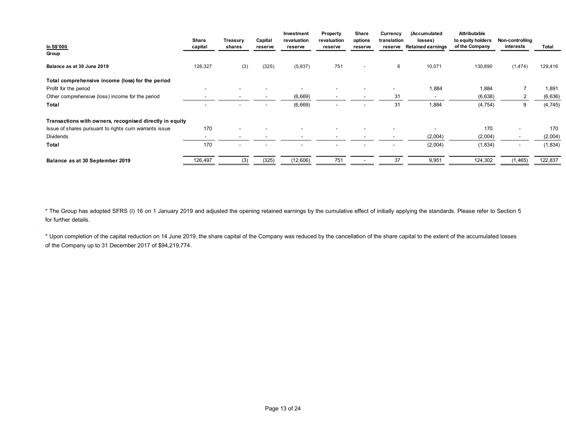|                                                                                                                                                      |                          |                    |                    | Investment             | Property                 | Share                    | Currency       | (Accumulated                         | Attributable                                        |                |                     |
|------------------------------------------------------------------------------------------------------------------------------------------------------|--------------------------|--------------------|--------------------|------------------------|--------------------------|--------------------------|----------------|--------------------------------------|-----------------------------------------------------|----------------|---------------------|
|                                                                                                                                                      | Share<br>capital         | Treasury<br>shares | Capital<br>reserve | revaluation<br>reserve | revaluation<br>reserve   | options<br>reserve       | translation    | losses)<br>reserve Retained earnings | to equity holders Non-controlling<br>of the Company | interests      | Total               |
|                                                                                                                                                      |                          |                    |                    |                        |                          |                          |                |                                      |                                                     |                |                     |
| Group<br>Balance as at 30 June 2019                                                                                                                  | 126,327                  | (3)                | (325)              | (5,937)                | 751                      | $\overline{\phantom{a}}$ | 6              | 10,071                               | 130,890                                             | (1,474)        | 129,416             |
|                                                                                                                                                      |                          |                    |                    |                        |                          |                          |                |                                      |                                                     |                |                     |
|                                                                                                                                                      |                          |                    |                    | $\sim$                 |                          |                          | $\blacksquare$ |                                      |                                                     | $\overline{7}$ |                     |
|                                                                                                                                                      | $\overline{\phantom{a}}$ |                    |                    | (6,669)                | $\overline{\phantom{a}}$ |                          | 31             | 1,884<br>$\sim$                      | 1,884<br>(6,638)                                    | $\overline{2}$ | 1,891<br>(6,636)    |
| In S\$'000<br>Total comprehensive income (loss) for the period<br>Profit for the period<br>Other comprehensive (loss) income for the period<br>Total | $\sim$                   |                    |                    | (6,669)                |                          |                          | 31             | 1,884                                | (4, 754)                                            | 9              | (4, 745)            |
|                                                                                                                                                      |                          |                    |                    |                        |                          |                          |                |                                      |                                                     |                |                     |
| Transactions with owners, recognised directly in equity                                                                                              |                          |                    |                    |                        |                          |                          | $\sim$         | $\sim$                               |                                                     | $\sim$         |                     |
| Issue of shares pursuant to rights cum warrants issue                                                                                                | 170<br>$\sim$            |                    |                    |                        |                          |                          | $\blacksquare$ |                                      | 170                                                 | $\sim$         | 170                 |
| Dividends<br>Total                                                                                                                                   | 170                      |                    |                    |                        |                          |                          |                | (2,004)<br>(2,004)                   | (2,004)<br>(1, 834)                                 | $\sim$         | (2,004)<br>(1, 834) |
|                                                                                                                                                      |                          |                    |                    |                        |                          |                          |                |                                      |                                                     |                |                     |
| Balance as at 30 September 2019                                                                                                                      | 126,497                  | (3)                | (325)              | (12,606)               | 751                      | $\sim$ $ \sim$           | 37             | 9,951                                | 124,302                                             | (1, 465)       | 122,837             |
|                                                                                                                                                      |                          |                    |                    |                        |                          |                          |                |                                      |                                                     |                |                     |

\* The Group has adopted SFRS (I) 16 on 1 January 2019 and adjusted the opening retained earnings by the cumulative effect of initially applying the standards. Please refer to Section 5 for further details.

⁺ Upon completion of the capital reduction on 14 June 2019, the share capital of the Company was reduced by the cancellation of the share capital to the extent of the accumulated losses of the Company up to 31 December 2017 of \$94,219,774.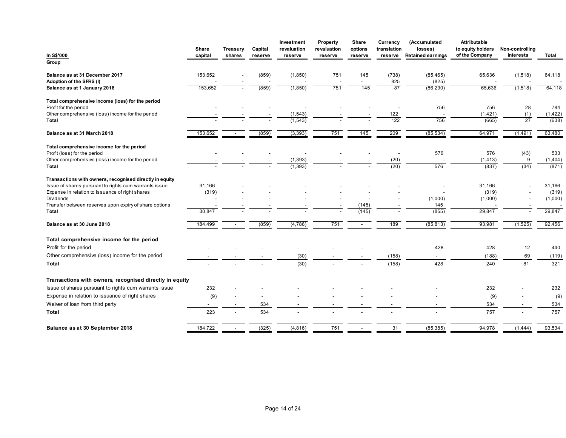|                                                                                                                  |            |                          |                          | Investment           | <b>Property</b>          | Share                    | Currency       | (Accumulated             | Attributable                        |                                    |                  |
|------------------------------------------------------------------------------------------------------------------|------------|--------------------------|--------------------------|----------------------|--------------------------|--------------------------|----------------|--------------------------|-------------------------------------|------------------------------------|------------------|
|                                                                                                                  | Share      | Treasury                 | Capital                  | revaluation          | revaluation              | options                  | translation    | losses)                  | to equity holders<br>of the Company | Non-controlling                    |                  |
| In S\$'000<br>Group                                                                                              | capital    | shares                   | reserve                  | reserve              | reserve                  | reserve                  | reserve        | <b>Retained earnings</b> |                                     | interests                          | Total            |
| Balance as at 31 December 2017                                                                                   | 153,652    |                          | (859)                    | (1,850)              | 751                      | 145                      | (738)          | (85, 465)                | 65,636                              | (1,518)                            | 64,118           |
| Adoption of the SFRS (I)<br>Balance as at 1 January 2018                                                         | 153,652    |                          | (859)                    | (1,850)              | 751                      | $\sim$<br>145            | 825<br>87      | (825)<br>(86, 290)       | 65,636                              | (1,518)                            | 64,118           |
|                                                                                                                  |            |                          |                          |                      |                          |                          |                |                          |                                     |                                    |                  |
| Total comprehensive income (loss) for the period<br>Profit for the period                                        |            |                          | $\overline{\phantom{a}}$ |                      |                          |                          | $\sim$         | 756                      | 756                                 | 28                                 | 784              |
| Other comprehensive (loss) income for the period<br>Total                                                        |            |                          | $\overline{\phantom{a}}$ | (1, 543)<br>(1, 543) |                          | $\overline{\phantom{a}}$ | 122<br>122     | $\sim$<br>756            | (1,421)<br>(665)                    | (1)<br>$\overline{27}$             | (1,422)<br>(638) |
|                                                                                                                  |            |                          |                          |                      |                          |                          |                |                          |                                     |                                    |                  |
| Balance as at 31 March 2018                                                                                      | 153,652    | $\sim$                   | (859)                    | (3,393)              | 751                      | 145                      | 209            | (85, 534)                | 64,971                              | (1,491)                            | 63,480           |
| Total comprehensive income for the period                                                                        |            |                          |                          | $\sim$               |                          |                          |                | 576                      | 576                                 | (43)                               | 533              |
| Profit (loss) for the period<br>Other comprehensive (loss) income for the period                                 |            |                          |                          | (1, 393)             |                          |                          | $\sim$<br>(20) |                          | (1, 413)                            | 9                                  | (1,404)          |
| Total                                                                                                            |            | $\overline{\phantom{a}}$ |                          | (1, 393)             |                          |                          | (20)           | 576                      | (837)                               | (34)                               | (871)            |
| Transactions with owners, recognised directly in equity<br>Issue of shares pursuant to rights cum warrants issue | 31,166     |                          |                          |                      |                          |                          |                |                          | 31,166                              |                                    | 31,166           |
| Expense in relation to issuance of right shares                                                                  | (319)      |                          |                          |                      |                          |                          |                | $\overline{\phantom{0}}$ | (319)                               | $\sim$<br>$\overline{\phantom{a}}$ | (319)            |
| Dividends<br>Transfer between reserves upon expiry of share options                                              |            |                          |                          |                      |                          | (145)                    |                | (1,000)<br>145           | (1,000)                             | $\sim$<br>$\overline{\phantom{a}}$ | (1,000)          |
| Total                                                                                                            | 30,847     |                          |                          |                      |                          | (145)                    |                | (855)                    | 29,847                              |                                    | 29,847           |
| Balance as at 30 June 2018                                                                                       | 184,499    | $\sim$                   | (859)                    | (4, 786)             | 751                      | $\sim$ $ \sim$           | 189            | (85, 813)                | 93,981                              | (1,525)                            | 92,456           |
| Total comprehensive income for the period                                                                        |            |                          |                          |                      |                          |                          |                |                          |                                     |                                    |                  |
| Profit for the period                                                                                            | $\sim$     |                          | $\overline{\phantom{a}}$ | $\sim$               | $\overline{\phantom{a}}$ | $\overline{\phantom{a}}$ | $\sim$         | 428                      | 428                                 | 12                                 | 440              |
| Other comprehensive (loss) income for the period<br>Total                                                        |            |                          |                          | (30)<br>(30)         |                          | $\overline{\phantom{a}}$ | (158)<br>(158) | $\sim$<br>428            | (188)<br>240                        | 69<br>81                           | (119)<br>321     |
|                                                                                                                  |            |                          |                          |                      |                          |                          |                |                          |                                     |                                    |                  |
| Transactions with owners, recognised directly in equity                                                          |            |                          |                          |                      |                          |                          |                |                          |                                     |                                    |                  |
| Issue of shares pursuant to rights cum warrants issue<br>Expense in relation to issuance of right shares         | 232<br>(9) | $\overline{a}$           | $\overline{\phantom{a}}$ |                      |                          |                          |                |                          | 232                                 | $\overline{\phantom{a}}$<br>$\sim$ | 232<br>(9)       |
| Waiver of loan from third party                                                                                  | $\sim$     |                          | 534                      |                      |                          |                          |                | $\sim$                   | (9)<br>534                          | $\overline{a}$                     | 534              |
| Total                                                                                                            | 223        | $\overline{a}$           | 534                      | $\overline{a}$       | $\overline{\phantom{0}}$ | $\sim$                   | $\sim$         | $\sim$                   | 757                                 | $\sim$                             | 757              |
|                                                                                                                  |            |                          | (325)                    | (4,816)              | 751                      | $\sim$                   | 31             | (85, 385)                | 94,978                              | (1,444)                            | 93,534           |
| Balance as at 30 September 2018                                                                                  | 184,722    | $\sim$                   |                          |                      |                          |                          |                |                          |                                     |                                    |                  |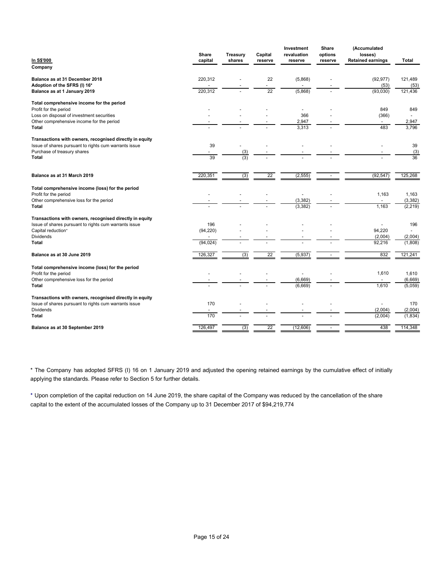|                                                                                                                  |                  |                          |                                | Investment                          | Share                    | (Accumulated                               |                           |
|------------------------------------------------------------------------------------------------------------------|------------------|--------------------------|--------------------------------|-------------------------------------|--------------------------|--------------------------------------------|---------------------------|
| In S\$'000                                                                                                       | Share<br>capital | Treasury<br>shares       | Capital<br>reserve             | revaluation<br>reserve              | options<br>reserve       | losses)<br><b>Retained earnings</b>        | Total                     |
| Company                                                                                                          |                  |                          |                                |                                     |                          |                                            |                           |
| Balance as at 31 December 2018                                                                                   | 220,312          |                          | 22                             | (5,868)                             |                          | (92, 977)                                  | 121,489                   |
| Adoption of the SFRS (I) 16*<br>Balance as at 1 January 2019                                                     | 220,312          |                          | $\overline{\phantom{a}}$<br>22 | (5,868)                             |                          | (53)<br>(93,030)                           | (53)<br>121,436           |
| Total comprehensive income for the period                                                                        |                  |                          |                                |                                     |                          |                                            |                           |
| Profit for the period<br>Loss on disposal of investment securities                                               |                  |                          |                                | $\overline{\phantom{a}}$<br>366     |                          | 849<br>(366)                               | 849<br>$\blacksquare$     |
| Other comprehensive income for the period<br>Total                                                               |                  |                          |                                | 2,947<br>3,313                      | $\overline{a}$           | $\sim$<br>483                              | 2,947<br>3,796            |
|                                                                                                                  |                  |                          |                                |                                     |                          |                                            |                           |
| Transactions with owners, recognised directly in equity<br>Issue of shares pursuant to rights cum warrants issue | 39               | $\overline{\phantom{a}}$ |                                |                                     |                          | $\overline{\phantom{a}}$                   | 39                        |
| Purchase of treasury shares<br>Total                                                                             | 39               | (3)<br>(3)               |                                |                                     |                          | $\overline{\phantom{a}}$<br>$\blacksquare$ | (3)<br>36                 |
|                                                                                                                  |                  |                          |                                |                                     |                          |                                            |                           |
| Balance as at 31 March 2019                                                                                      | 220,351          | (3)                      | 22                             | (2, 555)                            | $\overline{\phantom{a}}$ | (92, 547)                                  | 125,268                   |
| Total comprehensive income (loss) for the period                                                                 |                  |                          |                                |                                     |                          |                                            |                           |
| Profit for the period<br>Other comprehensive loss for the period                                                 | $\sim$           |                          | $\overline{\phantom{a}}$       | $\sim$<br>(3, 382)                  |                          | 1,163<br>$\sim$                            | 1,163<br>(3, 382)         |
| Total                                                                                                            |                  |                          | $\sim$                         | (3, 382)                            |                          | 1,163                                      | (2, 219)                  |
| Transactions with owners, recognised directly in equity<br>Issue of shares pursuant to rights cum warrants issue | 196              |                          |                                |                                     |                          | $\overline{\phantom{a}}$                   | 196                       |
| Capital reduction*<br>Dividends                                                                                  | (94, 220)        |                          |                                | $\blacksquare$                      |                          | 94,220<br>(2,004)                          | $\blacksquare$<br>(2,004) |
| Total                                                                                                            | (94, 024)        |                          |                                |                                     |                          | 92,216                                     | (1,808)                   |
| Balance as at 30 June 2019                                                                                       | 126,327          | (3)                      | 22                             | (5, 937)                            | $\sim$                   | 832                                        | 121,241                   |
| Total comprehensive income (loss) for the period                                                                 |                  |                          |                                |                                     |                          |                                            |                           |
| Profit for the period<br>Other comprehensive loss for the period                                                 |                  |                          |                                | $\overline{\phantom{a}}$<br>(6,669) |                          | 1,610<br>$\sim$                            | 1,610<br>(6,669)          |
| Total                                                                                                            |                  |                          |                                | (6,669)                             | $\sim$                   | 1,610                                      | (5,059)                   |
| Transactions with owners, recognised directly in equity                                                          |                  |                          |                                |                                     |                          |                                            |                           |
| Issue of shares pursuant to rights cum warrants issue<br>Dividends                                               | 170              | $\blacksquare$           | $\overline{\phantom{a}}$       | $\blacksquare$                      |                          | $\overline{\phantom{a}}$<br>(2,004)        | 170<br>(2,004)            |
| Total                                                                                                            | 170              |                          |                                |                                     |                          | (2,004)                                    | (1,834)                   |
| Balance as at 30 September 2019                                                                                  | 126,497          | (3)                      | 22                             | (12,606)                            |                          | 438                                        | 114,348                   |

\* The Company has adopted SFRS (I) 16 on 1 January 2019 and adjusted the opening retained earnings by the cumulative effect of initially applying the standards. Please refer to Section 5 for further details.

⁺ Upon completion of the capital reduction on 14 June 2019, the share capital of the Company was reduced by the cancellation of the share capital to the extent of the accumulated losses of the Company up to 31 December 2017 of \$94,219,774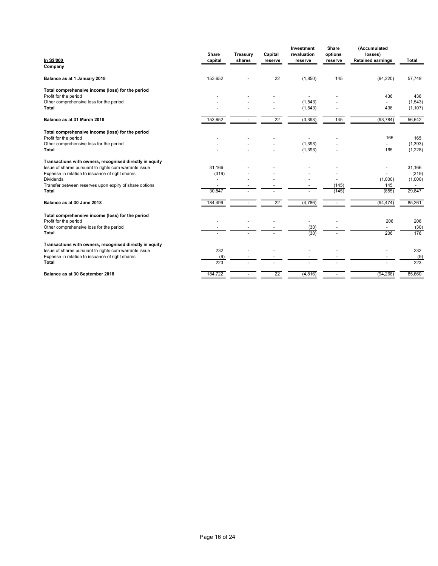|                                                                                                          |                  |                          |                    | Investment                           | Share              | (Accumulated                        |                                    |
|----------------------------------------------------------------------------------------------------------|------------------|--------------------------|--------------------|--------------------------------------|--------------------|-------------------------------------|------------------------------------|
| In S\$'000                                                                                               | Share<br>capital | Treasury<br>shares       | Capital<br>reserve | revaluation<br>reserve               | options<br>reserve | losses)<br><b>Retained earnings</b> | Total                              |
| Company                                                                                                  |                  |                          |                    |                                      |                    |                                     |                                    |
| Balance as at 1 January 2018                                                                             | 153,652          |                          | 22                 | (1, 850)                             | 145                | (94, 220)                           | 57,749                             |
| Total comprehensive income (loss) for the period                                                         |                  |                          |                    |                                      |                    |                                     |                                    |
| Profit for the period<br>Other comprehensive loss for the period                                         |                  |                          |                    | $\overline{\phantom{a}}$<br>(1, 543) |                    | 436<br>$\sim$                       | 436<br>(1, 543)                    |
| Total                                                                                                    |                  |                          |                    | (1, 543)                             |                    | 436                                 | (1, 107)                           |
| Balance as at 31 March 2018                                                                              | 153,652          | $\overline{\phantom{a}}$ | 22                 | (3, 393)                             | 145                | (93, 784)                           | 56,642                             |
| Total comprehensive income (loss) for the period                                                         |                  |                          |                    |                                      |                    |                                     |                                    |
| Profit for the period<br>Other comprehensive loss for the period                                         |                  |                          |                    | $\overline{\phantom{a}}$<br>(1, 393) |                    | 165<br>$\sim$                       | 165<br>(1, 393)                    |
|                                                                                                          |                  |                          |                    | (1, 393)                             |                    | 165                                 | (1,228)                            |
| Total                                                                                                    |                  |                          |                    |                                      |                    |                                     |                                    |
| Transactions with owners, recognised directly in equity                                                  |                  |                          |                    |                                      |                    |                                     |                                    |
| Issue of shares pursuant to rights cum warrants issue                                                    | 31,166           |                          |                    |                                      |                    | $\sim$<br>$\sim$                    | 31,166                             |
| Expense in relation to issuance of right shares<br>Dividends                                             | (319)<br>$\sim$  |                          |                    |                                      |                    | (1,000)                             | (319)<br>(1,000)                   |
| Transfer between reserves upon expiry of share options<br>Total                                          | 30,847           | $\sim$                   | $\sim$             | $\sim$                               | (145)<br>(145)     | 145<br>(855)                        | $\overline{\phantom{a}}$<br>29,847 |
| Balance as at 30 June 2018                                                                               | 184,499          | $\sim$                   | 22                 | (4,786)                              | $\sim$             | (94, 474)                           | 85,261                             |
| Total comprehensive income (loss) for the period                                                         |                  |                          |                    |                                      |                    |                                     |                                    |
| Profit for the period                                                                                    |                  |                          |                    | $\overline{\phantom{a}}$             |                    | 206<br>$\sim$                       | 206                                |
| Other comprehensive loss for the period<br>Total                                                         |                  |                          |                    | (30)<br>(30)                         |                    | 206                                 | (30)<br>176                        |
| Transactions with owners, recognised directly in equity                                                  |                  |                          |                    |                                      |                    |                                     |                                    |
| Issue of shares pursuant to rights cum warrants issue<br>Expense in relation to issuance of right shares | 232<br>(9)       |                          |                    |                                      |                    | $\overline{\phantom{a}}$            | 232                                |
| Total                                                                                                    | 223              |                          |                    |                                      |                    |                                     | (9)<br>223                         |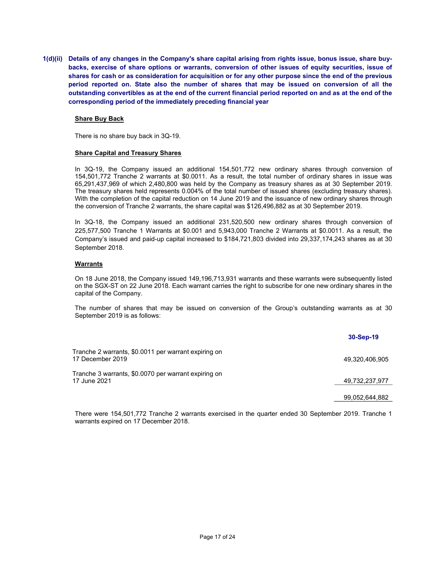1(d)(ii) Details of any changes in the Company's share capital arising from rights issue, bonus issue, share buybacks, exercise of share options or warrants, conversion of other issues of equity securities, issue of shares for cash or as consideration for acquisition or for any other purpose since the end of the previous period reported on. State also the number of shares that may be issued on conversion of all the outstanding convertibles as at the end of the current financial period reported on and as at the end of the corresponding period of the immediately preceding financial year

#### Share Buy Back

There is no share buy back in 3Q-19.

## Share Capital and Treasury Shares

In 3Q-19, the Company issued an additional 154,501,772 new ordinary shares through conversion of 154,501,772 Tranche 2 warrants at \$0.0011. As a result, the total number of ordinary shares in issue was 65,291,437,969 of which 2,480,800 was held by the Company as treasury shares as at 30 September 2019. The treasury shares held represents 0.004% of the total number of issued shares (excluding treasury shares). With the completion of the capital reduction on 14 June 2019 and the issuance of new ordinary shares through the conversion of Tranche 2 warrants, the share capital was \$126,496,882 as at 30 September 2019.

In 3Q-18, the Company issued an additional 231,520,500 new ordinary shares through conversion of 225,577,500 Tranche 1 Warrants at \$0.001 and 5,943,000 Tranche 2 Warrants at \$0.0011. As a result, the Company's issued and paid-up capital increased to \$184,721,803 divided into 29,337,174,243 shares as at 30 September 2018.

## **Warrants**

On 18 June 2018, the Company issued 149,196,713,931 warrants and these warrants were subsequently listed on the SGX-ST on 22 June 2018. Each warrant carries the right to subscribe for one new ordinary shares in the capital of the Company.

The number of shares that may be issued on conversion of the Group's outstanding warrants as at 30 September 2019 is as follows:

|                                                                          | 30-Sep-19      |
|--------------------------------------------------------------------------|----------------|
| Tranche 2 warrants, \$0.0011 per warrant expiring on<br>17 December 2019 | 49,320,406,905 |
| Tranche 3 warrants, \$0.0070 per warrant expiring on<br>17 June 2021     | 49,732,237,977 |
|                                                                          | 99,052,644,882 |

There were 154,501,772 Tranche 2 warrants exercised in the quarter ended 30 September 2019. Tranche 1 warrants expired on 17 December 2018.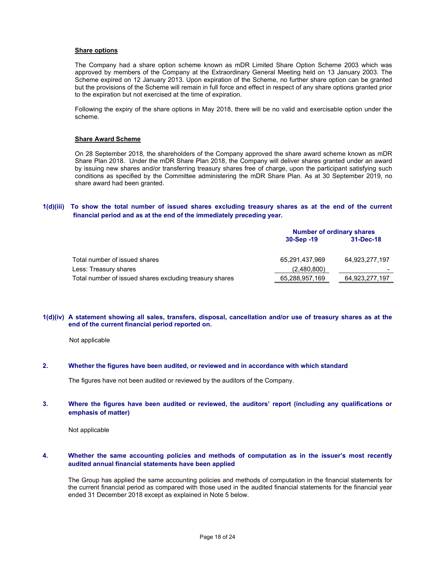#### **Share options**

The Company had a share option scheme known as mDR Limited Share Option Scheme 2003 which was approved by members of the Company at the Extraordinary General Meeting held on 13 January 2003. The Scheme expired on 12 January 2013. Upon expiration of the Scheme, no further share option can be granted but the provisions of the Scheme will remain in full force and effect in respect of any share options granted prior to the expiration but not exercised at the time of expiration.

Following the expiry of the share options in May 2018, there will be no valid and exercisable option under the scheme.

#### Share Award Scheme

On 28 September 2018, the shareholders of the Company approved the share award scheme known as mDR Share Plan 2018. Under the mDR Share Plan 2018, the Company will deliver shares granted under an award by issuing new shares and/or transferring treasury shares free of charge, upon the participant satisfying such conditions as specified by the Committee administering the mDR Share Plan. As at 30 September 2019, no share award had been granted.

## 1(d)(iii) To show the total number of issued shares excluding treasury shares as at the end of the current financial period and as at the end of the immediately preceding year.

|                                                         |                | <b>Number of ordinary shares</b> |  |  |
|---------------------------------------------------------|----------------|----------------------------------|--|--|
|                                                         | $30-Sep -19$   | 31-Dec-18                        |  |  |
| Total number of issued shares                           | 65,291,437,969 | 64,923,277,197                   |  |  |
| Less: Treasury shares                                   | (2,480,800)    |                                  |  |  |
| Total number of issued shares excluding treasury shares | 65,288,957,169 | 64,923,277,197                   |  |  |

#### 1(d)(iv) A statement showing all sales, transfers, disposal, cancellation and/or use of treasury shares as at the end of the current financial period reported on.

Not applicable

## 2. Whether the figures have been audited, or reviewed and in accordance with which standard

The figures have not been audited or reviewed by the auditors of the Company.

## 3. Where the figures have been audited or reviewed, the auditors' report (including any qualifications or emphasis of matter)

Not applicable

## 4. Whether the same accounting policies and methods of computation as in the issuer's most recently audited annual financial statements have been applied

The Group has applied the same accounting policies and methods of computation in the financial statements for the current financial period as compared with those used in the audited financial statements for the financial year ended 31 December 2018 except as explained in Note 5 below.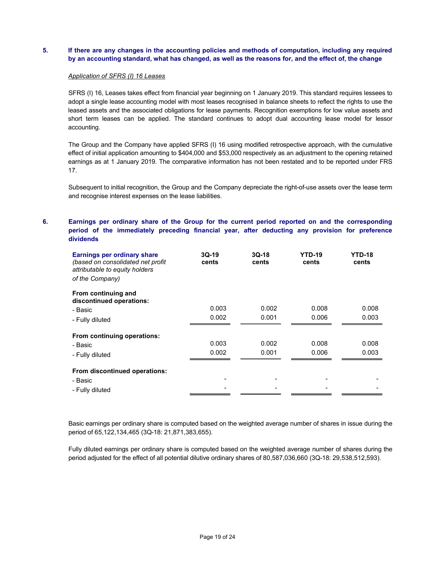# 5. If there are any changes in the accounting policies and methods of computation, including any required by an accounting standard, what has changed, as well as the reasons for, and the effect of, the change

#### Application of SFRS (I) 16 Leases

SFRS (I) 16, Leases takes effect from financial year beginning on 1 January 2019. This standard requires lessees to adopt a single lease accounting model with most leases recognised in balance sheets to reflect the rights to use the leased assets and the associated obligations for lease payments. Recognition exemptions for low value assets and short term leases can be applied. The standard continues to adopt dual accounting lease model for lessor accounting.

The Group and the Company have applied SFRS (I) 16 using modified retrospective approach, with the cumulative effect of initial application amounting to \$404,000 and \$53,000 respectively as an adjustment to the opening retained earnings as at 1 January 2019. The comparative information has not been restated and to be reported under FRS 17.

Subsequent to initial recognition, the Group and the Company depreciate the right-of-use assets over the lease term and recognise interest expenses on the lease liabilities.

# 6. Earnings per ordinary share of the Group for the current period reported on and the corresponding period of the immediately preceding financial year, after deducting any provision for preference dividends

| <b>Earnings per ordinary share</b><br>(based on consolidated net profit)<br>attributable to equity holders<br>of the Company) | $3Q-19$<br>cents | $3Q-18$<br>cents | <b>YTD-19</b><br>cents | <b>YTD-18</b><br>cents |
|-------------------------------------------------------------------------------------------------------------------------------|------------------|------------------|------------------------|------------------------|
| From continuing and<br>discontinued operations:                                                                               |                  |                  |                        |                        |
| - Basic                                                                                                                       | 0.003            | 0.002            | 0.008                  | 0.008                  |
| - Fully diluted                                                                                                               | 0.002            | 0.001            | 0.006                  | 0.003                  |
| From continuing operations:                                                                                                   |                  |                  |                        |                        |
| - Basic                                                                                                                       | 0.003            | 0.002            | 0.008                  | 0.008                  |
| - Fully diluted                                                                                                               | 0.002            | 0.001            | 0.006                  | 0.003                  |
| From discontinued operations:                                                                                                 |                  |                  |                        |                        |
| - Basic                                                                                                                       |                  |                  |                        |                        |
| - Fully diluted                                                                                                               |                  |                  |                        |                        |

Basic earnings per ordinary share is computed based on the weighted average number of shares in issue during the period of 65,122,134,465 (3Q-18: 21,871,383,655).

Fully diluted earnings per ordinary share is computed based on the weighted average number of shares during the period adjusted for the effect of all potential dilutive ordinary shares of 80,587,036,660 (3Q-18: 29,538,512,593).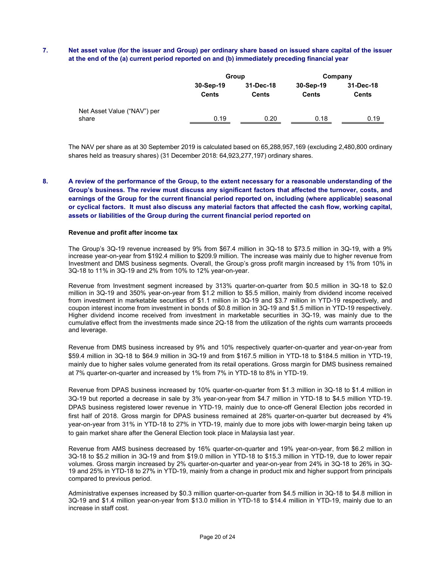# 7. Net asset value (for the issuer and Group) per ordinary share based on issued share capital of the issuer at the end of the (a) current period reported on and (b) immediately preceding financial year

|                                      | Group                     |                    | Company                   |                           |
|--------------------------------------|---------------------------|--------------------|---------------------------|---------------------------|
|                                      | 30-Sep-19<br><b>Cents</b> | 31-Dec-18<br>Cents | 30-Sep-19<br><b>Cents</b> | 31-Dec-18<br><b>Cents</b> |
| Net Asset Value ("NAV") per<br>share | 0.19                      | 0.20               | 0.18                      | 0.19                      |

The NAV per share as at 30 September 2019 is calculated based on 65,288,957,169 (excluding 2,480,800 ordinary shares held as treasury shares) (31 December 2018: 64,923,277,197) ordinary shares.

8. A review of the performance of the Group, to the extent necessary for a reasonable understanding of the Group's business. The review must discuss any significant factors that affected the turnover, costs, and earnings of the Group for the current financial period reported on, including (where applicable) seasonal or cyclical factors. It must also discuss any material factors that affected the cash flow, working capital, assets or liabilities of the Group during the current financial period reported on

#### Revenue and profit after income tax

The Group's 3Q-19 revenue increased by 9% from \$67.4 million in 3Q-18 to \$73.5 million in 3Q-19, with a 9% increase year-on-year from \$192.4 million to \$209.9 million. The increase was mainly due to higher revenue from Investment and DMS business segments. Overall, the Group's gross profit margin increased by 1% from 10% in 3Q-18 to 11% in 3Q-19 and 2% from 10% to 12% year-on-year.

Revenue from Investment segment increased by 313% quarter-on-quarter from \$0.5 million in 3Q-18 to \$2.0 million in 3Q-19 and 350% year-on-year from \$1.2 million to \$5.5 million, mainly from dividend income received from investment in marketable securities of \$1.1 million in 3Q-19 and \$3.7 million in YTD-19 respectively, and coupon interest income from investment in bonds of \$0.8 million in 3Q-19 and \$1.5 million in YTD-19 respectively. Higher dividend income received from investment in marketable securities in 3Q-19, was mainly due to the cumulative effect from the investments made since 2Q-18 from the utilization of the rights cum warrants proceeds and leverage.

Revenue from DMS business increased by 9% and 10% respectively quarter-on-quarter and year-on-year from \$59.4 million in 3Q-18 to \$64.9 million in 3Q-19 and from \$167.5 million in YTD-18 to \$184.5 million in YTD-19, mainly due to higher sales volume generated from its retail operations. Gross margin for DMS business remained at 7% quarter-on-quarter and increased by 1% from 7% in YTD-18 to 8% in YTD-19.

Revenue from DPAS business increased by 10% quarter-on-quarter from \$1.3 million in 3Q-18 to \$1.4 million in 3Q-19 but reported a decrease in sale by 3% year-on-year from \$4.7 million in YTD-18 to \$4.5 million YTD-19. DPAS business registered lower revenue in YTD-19, mainly due to once-off General Election jobs recorded in first half of 2018. Gross margin for DPAS business remained at 28% quarter-on-quarter but decreased by 4% year-on-year from 31% in YTD-18 to 27% in YTD-19, mainly due to more jobs with lower-margin being taken up to gain market share after the General Election took place in Malaysia last year.

Revenue from AMS business decreased by 16% quarter-on-quarter and 19% year-on-year, from \$6.2 million in 3Q-18 to \$5.2 million in 3Q-19 and from \$19.0 million in YTD-18 to \$15.3 million in YTD-19, due to lower repair volumes. Gross margin increased by 2% quarter-on-quarter and year-on-year from 24% in 3Q-18 to 26% in 3Q-19 and 25% in YTD-18 to 27% in YTD-19, mainly from a change in product mix and higher support from principals compared to previous period.

Administrative expenses increased by \$0.3 million quarter-on-quarter from \$4.5 million in 3Q-18 to \$4.8 million in 3Q-19 and \$1.4 million year-on-year from \$13.0 million in YTD-18 to \$14.4 million in YTD-19, mainly due to an increase in staff cost.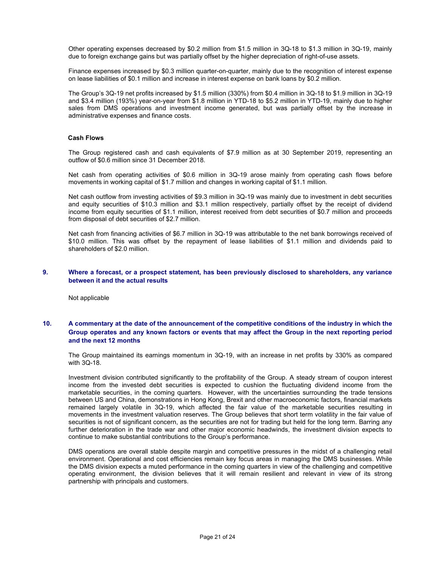Other operating expenses decreased by \$0.2 million from \$1.5 million in 3Q-18 to \$1.3 million in 3Q-19, mainly due to foreign exchange gains but was partially offset by the higher depreciation of right-of-use assets.

Finance expenses increased by \$0.3 million quarter-on-quarter, mainly due to the recognition of interest expense on lease liabilities of \$0.1 million and increase in interest expense on bank loans by \$0.2 million.

The Group's 3Q-19 net profits increased by \$1.5 million (330%) from \$0.4 million in 3Q-18 to \$1.9 million in 3Q-19 and \$3.4 million (193%) year-on-year from \$1.8 million in YTD-18 to \$5.2 million in YTD-19, mainly due to higher sales from DMS operations and investment income generated, but was partially offset by the increase in administrative expenses and finance costs.

#### Cash Flows

The Group registered cash and cash equivalents of \$7.9 million as at 30 September 2019, representing an outflow of \$0.6 million since 31 December 2018.

Net cash from operating activities of \$0.6 million in 3Q-19 arose mainly from operating cash flows before movements in working capital of \$1.7 million and changes in working capital of \$1.1 million.

Net cash outflow from investing activities of \$9.3 million in 3Q-19 was mainly due to investment in debt securities and equity securities of \$10.3 million and \$3.1 million respectively, partially offset by the receipt of dividend income from equity securities of \$1.1 million, interest received from debt securities of \$0.7 million and proceeds from disposal of debt securities of \$2.7 million.

Net cash from financing activities of \$6.7 million in 3Q-19 was attributable to the net bank borrowings received of \$10.0 million. This was offset by the repayment of lease liabilities of \$1.1 million and dividends paid to shareholders of \$2.0 million.

#### 9. Where a forecast, or a prospect statement, has been previously disclosed to shareholders, any variance between it and the actual results

Not applicable

# 10. A commentary at the date of the announcement of the competitive conditions of the industry in which the Group operates and any known factors or events that may affect the Group in the next reporting period and the next 12 months

The Group maintained its earnings momentum in 3Q-19, with an increase in net profits by 330% as compared with 3Q-18.

Investment division contributed significantly to the profitability of the Group. A steady stream of coupon interest income from the invested debt securities is expected to cushion the fluctuating dividend income from the marketable securities, in the coming quarters. However, with the uncertainties surrounding the trade tensions between US and China, demonstrations in Hong Kong, Brexit and other macroeconomic factors, financial markets remained largely volatile in 3Q-19, which affected the fair value of the marketable securities resulting in movements in the investment valuation reserves. The Group believes that short term volatility in the fair value of securities is not of significant concern, as the securities are not for trading but held for the long term. Barring any further deterioration in the trade war and other major economic headwinds, the investment division expects to continue to make substantial contributions to the Group's performance.

DMS operations are overall stable despite margin and competitive pressures in the midst of a challenging retail environment. Operational and cost efficiencies remain key focus areas in managing the DMS businesses. While the DMS division expects a muted performance in the coming quarters in view of the challenging and competitive operating environment, the division believes that it will remain resilient and relevant in view of its strong partnership with principals and customers.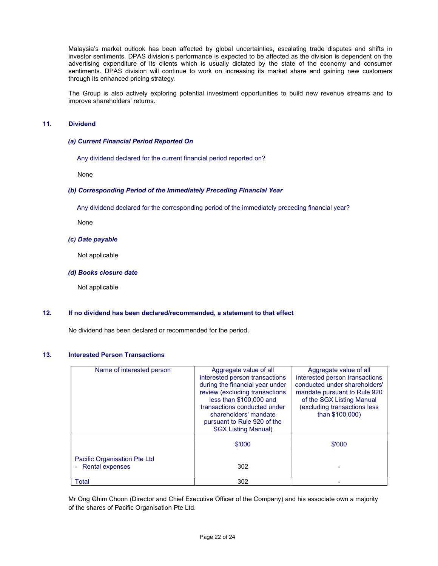Malaysia's market outlook has been affected by global uncertainties, escalating trade disputes and shifts in investor sentiments. DPAS division's performance is expected to be affected as the division is dependent on the advertising expenditure of its clients which is usually dictated by the state of the economy and consumer sentiments. DPAS division will continue to work on increasing its market share and gaining new customers through its enhanced pricing strategy.

The Group is also actively exploring potential investment opportunities to build new revenue streams and to improve shareholders' returns.

## 11. Dividend

#### (a) Current Financial Period Reported On

Any dividend declared for the current financial period reported on?

None

#### (b) Corresponding Period of the Immediately Preceding Financial Year

Any dividend declared for the corresponding period of the immediately preceding financial year?

None

#### (c) Date payable

Not applicable

#### (d) Books closure date

Not applicable

# 12. If no dividend has been declared/recommended, a statement to that effect

No dividend has been declared or recommended for the period.

## 13. Interested Person Transactions

| Name of interested person    | Aggregate value of all          | Aggregate value of all         |
|------------------------------|---------------------------------|--------------------------------|
|                              | interested person transactions  | interested person transactions |
|                              | during the financial year under | conducted under shareholders'  |
|                              | review (excluding transactions  | mandate pursuant to Rule 920   |
|                              | less than \$100,000 and         | of the SGX Listing Manual      |
|                              | transactions conducted under    | (excluding transactions less   |
|                              | shareholders' mandate           | than \$100,000)                |
|                              | pursuant to Rule 920 of the     |                                |
|                              | <b>SGX Listing Manual)</b>      |                                |
|                              |                                 |                                |
|                              | \$'000                          | \$'000                         |
|                              |                                 |                                |
| Pacific Organisation Pte Ltd |                                 |                                |
| <b>Rental expenses</b>       | 302                             |                                |
|                              |                                 |                                |
| Total                        | 302                             |                                |

Mr Ong Ghim Choon (Director and Chief Executive Officer of the Company) and his associate own a majority of the shares of Pacific Organisation Pte Ltd.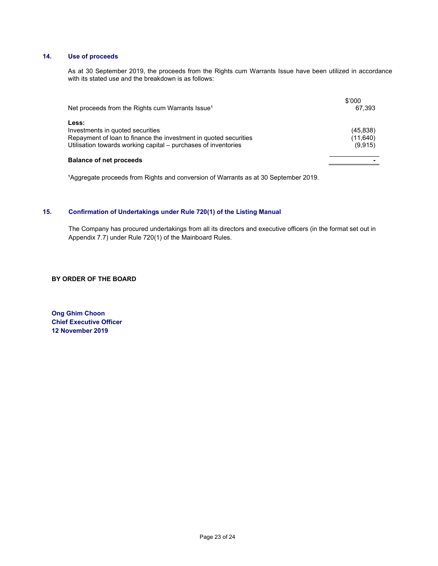# 14. Use of proceeds

 As at 30 September 2019, the proceeds from the Rights cum Warrants Issue have been utilized in accordance with its stated use and the breakdown is as follows:

| Net proceeds from the Rights cum Warrants Issue <sup>1</sup>                                                                                                                    | \$'000<br>67.393                  |
|---------------------------------------------------------------------------------------------------------------------------------------------------------------------------------|-----------------------------------|
| Less:<br>Investments in quoted securities<br>Repayment of loan to finance the investment in quoted securities<br>Utilisation towards working capital - purchases of inventories | (45, 838)<br>(11, 640)<br>(9,915) |
| <b>Balance of net proceeds</b>                                                                                                                                                  |                                   |

<sup>1</sup>Aggregate proceeds from Rights and conversion of Warrants as at 30 September 2019.

# 15. Confirmation of Undertakings under Rule 720(1) of the Listing Manual

The Company has procured undertakings from all its directors and executive officers (in the format set out in Appendix 7.7) under Rule 720(1) of the Mainboard Rules.

BY ORDER OF THE BOARD

Ong Ghim Choon Chief Executive Officer 12 November 2019